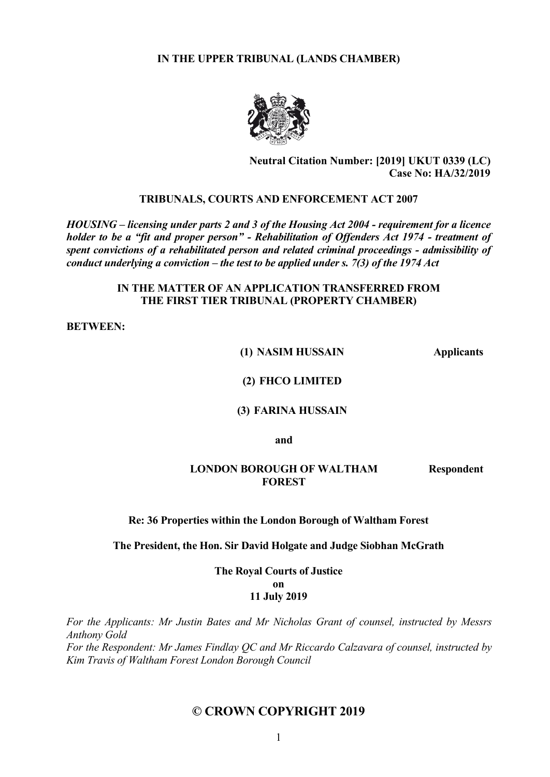#### **IN THE UPPER TRIBUNAL (LANDS CHAMBER)**



## **Neutral Citation Number: [2019] UKUT 0339 (LC) Case No: HA/32/2019**

#### **TRIBUNALS, COURTS AND ENFORCEMENT ACT 2007**

*HOUSING – licensing under parts 2 and 3 of the Housing Act 2004 - requirement for a licence holder to be a "fit and proper person" - Rehabilitation of Offenders Act 1974 - treatment of spent convictions of a rehabilitated person and related criminal proceedings - admissibility of conduct underlying a conviction – the test to be applied under s. 7(3) of the 1974 Act*

> **IN THE MATTER OF AN APPLICATION TRANSFERRED FROM THE FIRST TIER TRIBUNAL (PROPERTY CHAMBER)**

**BETWEEN:**

**(1) NASIM HUSSAIN** 

**Applicants**

**(2) FHCO LIMITED**

#### **(3) FARINA HUSSAIN**

**and**

#### **LONDON BOROUGH OF WALTHAM FOREST Respondent**

#### **Re: 36 Properties within the London Borough of Waltham Forest**

#### **The President, the Hon. Sir David Holgate and Judge Siobhan McGrath**

**The Royal Courts of Justice on 11 July 2019**

*For the Applicants: Mr Justin Bates and Mr Nicholas Grant of counsel, instructed by Messrs Anthony Gold For the Respondent: Mr James Findlay QC and Mr Riccardo Calzavara of counsel, instructed by Kim Travis of Waltham Forest London Borough Council*

## **© CROWN COPYRIGHT 2019**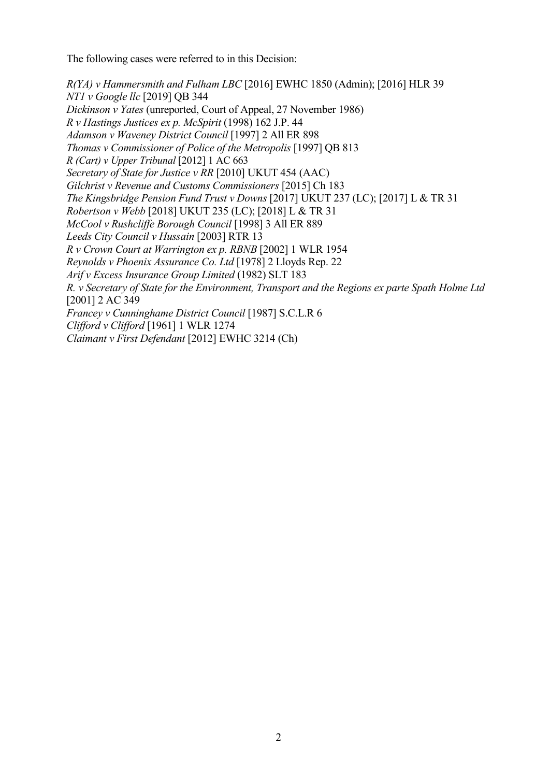The following cases were referred to in this Decision:

*R(YA) v Hammersmith and Fulham LBC* [2016] EWHC 1850 (Admin); [2016] HLR 39 *NT1 v Google llc* [2019] QB 344 *Dickinson v Yates* (unreported, Court of Appeal, 27 November 1986) *R v Hastings Justices ex p. McSpirit* (1998) 162 J.P. 44 *Adamson v Waveney District Council* [1997] 2 All ER 898 *Thomas v Commissioner of Police of the Metropolis* [1997] QB 813 *R (Cart) v Upper Tribunal* [2012] 1 AC 663 *Secretary of State for Justice v RR* [2010] UKUT 454 (AAC) *Gilchrist v Revenue and Customs Commissioners* [2015] Ch 183 *The Kingsbridge Pension Fund Trust v Downs* [2017] UKUT 237 (LC); [2017] L & TR 31 *Robertson v Webb* [2018] UKUT 235 (LC); [2018] L & TR 31 *McCool v Rushcliffe Borough Council* [1998] 3 All ER 889 *Leeds City Council v Hussain* [2003] RTR 13 *R v Crown Court at Warrington ex p. RBNB* [2002] 1 WLR 1954 *Reynolds v Phoenix Assurance Co. Ltd* [1978] 2 Lloyds Rep. 22 *Arif v Excess Insurance Group Limited* (1982) SLT 183 *R. v Secretary of State for the Environment, Transport and the Regions ex parte Spath Holme Ltd* [2001] 2 AC 349 *Francey v Cunninghame District Council* [1987] S.C.L.R 6 *Clifford v Clifford* [1961] 1 WLR 1274

*Claimant v First Defendant* [2012] EWHC 3214 (Ch)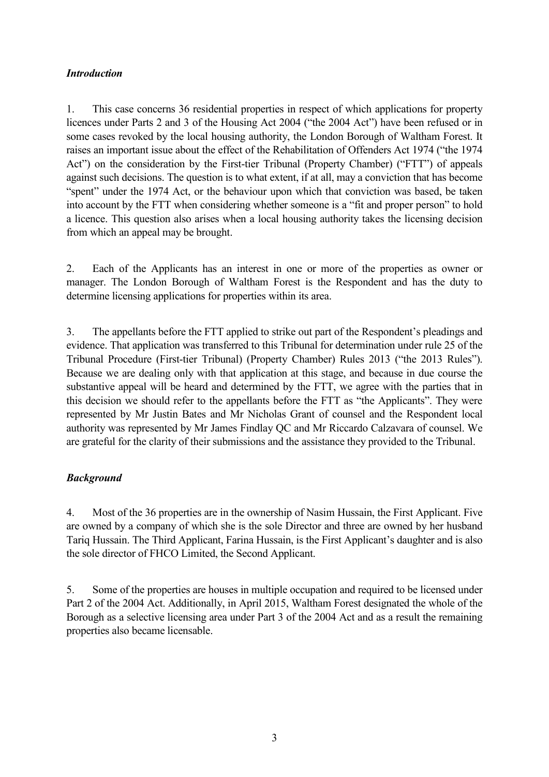# *Introduction*

1. This case concerns 36 residential properties in respect of which applications for property licences under Parts 2 and 3 of the Housing Act 2004 ("the 2004 Act") have been refused or in some cases revoked by the local housing authority, the London Borough of Waltham Forest. It raises an important issue about the effect of the Rehabilitation of Offenders Act 1974 ("the 1974 Act") on the consideration by the First-tier Tribunal (Property Chamber) ("FTT") of appeals against such decisions. The question is to what extent, if at all, may a conviction that has become "spent" under the 1974 Act, or the behaviour upon which that conviction was based, be taken into account by the FTT when considering whether someone is a "fit and proper person" to hold a licence. This question also arises when a local housing authority takes the licensing decision from which an appeal may be brought.

2. Each of the Applicants has an interest in one or more of the properties as owner or manager. The London Borough of Waltham Forest is the Respondent and has the duty to determine licensing applications for properties within its area.

3. The appellants before the FTT applied to strike out part of the Respondent's pleadings and evidence. That application was transferred to this Tribunal for determination under rule 25 of the Tribunal Procedure (First-tier Tribunal) (Property Chamber) Rules 2013 ("the 2013 Rules"). Because we are dealing only with that application at this stage, and because in due course the substantive appeal will be heard and determined by the FTT, we agree with the parties that in this decision we should refer to the appellants before the FTT as "the Applicants". They were represented by Mr Justin Bates and Mr Nicholas Grant of counsel and the Respondent local authority was represented by Mr James Findlay QC and Mr Riccardo Calzavara of counsel. We are grateful for the clarity of their submissions and the assistance they provided to the Tribunal.

# *Background*

4. Most of the 36 properties are in the ownership of Nasim Hussain, the First Applicant. Five are owned by a company of which she is the sole Director and three are owned by her husband Tariq Hussain. The Third Applicant, Farina Hussain, is the First Applicant's daughter and is also the sole director of FHCO Limited, the Second Applicant.

5. Some of the properties are houses in multiple occupation and required to be licensed under Part 2 of the 2004 Act. Additionally, in April 2015, Waltham Forest designated the whole of the Borough as a selective licensing area under Part 3 of the 2004 Act and as a result the remaining properties also became licensable.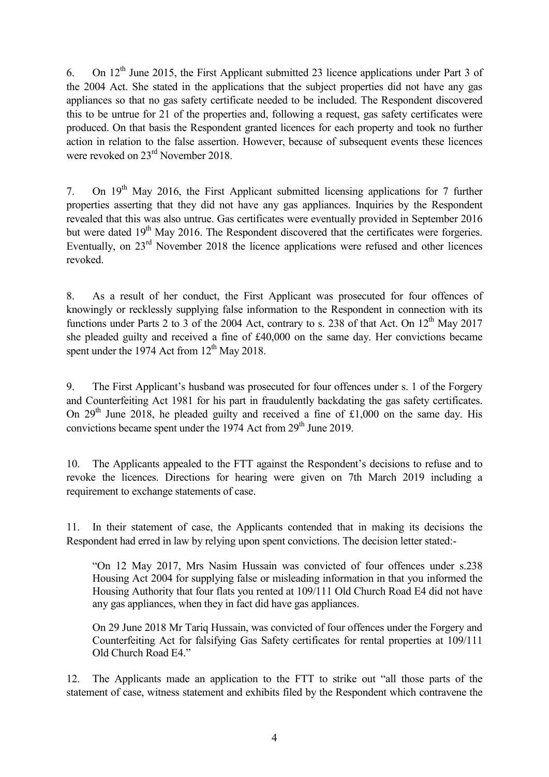6. On  $12^{th}$  June 2015, the First Applicant submitted 23 licence applications under Part 3 of the 2004 Act. She stated in the applications that the subject properties did not have any gas appliances so that no gas safety certificate needed to be included. The Respondent discovered this to be untrue for 21 of the properties and, following a request, gas safety certificates were produced. On that basis the Respondent granted licences for each property and took no further action in relation to the false assertion. However, because of subsequent events these licences were revoked on 23<sup>rd</sup> November 2018.

7. On 19th May 2016, the First Applicant submitted licensing applications for 7 further properties asserting that they did not have any gas appliances. Inquiries by the Respondent revealed that this was also untrue. Gas certificates were eventually provided in September 2016 but were dated  $19<sup>th</sup>$  May 2016. The Respondent discovered that the certificates were forgeries. Eventually, on 23<sup>rd</sup> November 2018 the licence applications were refused and other licences revoked.

8. As a result of her conduct, the First Applicant was prosecuted for four offences of knowingly or recklessly supplying false information to the Respondent in connection with its functions under Parts 2 to 3 of the 2004 Act, contrary to s. 238 of that Act. On  $12<sup>th</sup>$  May 2017 she pleaded guilty and received a fine of £40,000 on the same day. Her convictions became spent under the 1974 Act from  $12<sup>th</sup>$  May 2018.

9. The First Applicant's husband was prosecuted for four offences under s. 1 of the Forgery and Counterfeiting Act 1981 for his part in fraudulently backdating the gas safety certificates. On 29<sup>th</sup> June 2018, he pleaded guilty and received a fine of £1,000 on the same day. His convictions became spent under the 1974 Act from 29<sup>th</sup> June 2019.

10. The Applicants appealed to the FTT against the Respondent's decisions to refuse and to revoke the licences. Directions for hearing were given on 7th March 2019 including a requirement to exchange statements of case.

11. In their statement of case, the Applicants contended that in making its decisions the Respondent had erred in law by relying upon spent convictions. The decision letter stated:-

"On 12 May 2017, Mrs Nasim Hussain was convicted of four offences under s.238 Housing Act 2004 for supplying false or misleading information in that you informed the Housing Authority that four flats you rented at 109/111 Old Church Road E4 did not have any gas appliances, when they in fact did have gas appliances.

On 29 June 2018 Mr Tariq Hussain, was convicted of four offences under the Forgery and Counterfeiting Act for falsifying Gas Safety certificates for rental properties at 109/111 Old Church Road E4."

12. The Applicants made an application to the FTT to strike out "all those parts of the statement of case, witness statement and exhibits filed by the Respondent which contravene the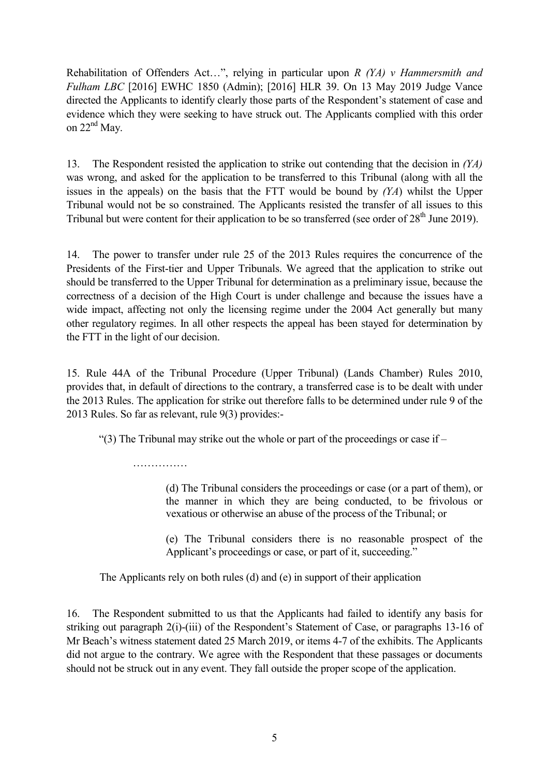Rehabilitation of Offenders Act…", relying in particular upon *R (YA) v Hammersmith and Fulham LBC* [2016] EWHC 1850 (Admin); [2016] HLR 39. On 13 May 2019 Judge Vance directed the Applicants to identify clearly those parts of the Respondent's statement of case and evidence which they were seeking to have struck out. The Applicants complied with this order on  $22<sup>nd</sup>$  May.

13. The Respondent resisted the application to strike out contending that the decision in *(YA)* was wrong, and asked for the application to be transferred to this Tribunal (along with all the issues in the appeals) on the basis that the FTT would be bound by *(YA*) whilst the Upper Tribunal would not be so constrained. The Applicants resisted the transfer of all issues to this Tribunal but were content for their application to be so transferred (see order of  $28<sup>th</sup>$  June 2019).

14. The power to transfer under rule 25 of the 2013 Rules requires the concurrence of the Presidents of the First-tier and Upper Tribunals. We agreed that the application to strike out should be transferred to the Upper Tribunal for determination as a preliminary issue, because the correctness of a decision of the High Court is under challenge and because the issues have a wide impact, affecting not only the licensing regime under the 2004 Act generally but many other regulatory regimes. In all other respects the appeal has been stayed for determination by the FTT in the light of our decision.

15. Rule 44A of the Tribunal Procedure (Upper Tribunal) (Lands Chamber) Rules 2010, provides that, in default of directions to the contrary, a transferred case is to be dealt with under the 2013 Rules. The application for strike out therefore falls to be determined under rule 9 of the 2013 Rules. So far as relevant, rule 9(3) provides:-

"(3) The Tribunal may strike out the whole or part of the proceedings or case if –

……………

(d) The Tribunal considers the proceedings or case (or a part of them), or the manner in which they are being conducted, to be frivolous or vexatious or otherwise an abuse of the process of the Tribunal; or

(e) The Tribunal considers there is no reasonable prospect of the Applicant's proceedings or case, or part of it, succeeding."

The Applicants rely on both rules (d) and (e) in support of their application

16. The Respondent submitted to us that the Applicants had failed to identify any basis for striking out paragraph 2(i)-(iii) of the Respondent's Statement of Case, or paragraphs 13-16 of Mr Beach's witness statement dated 25 March 2019, or items 4-7 of the exhibits. The Applicants did not argue to the contrary. We agree with the Respondent that these passages or documents should not be struck out in any event. They fall outside the proper scope of the application.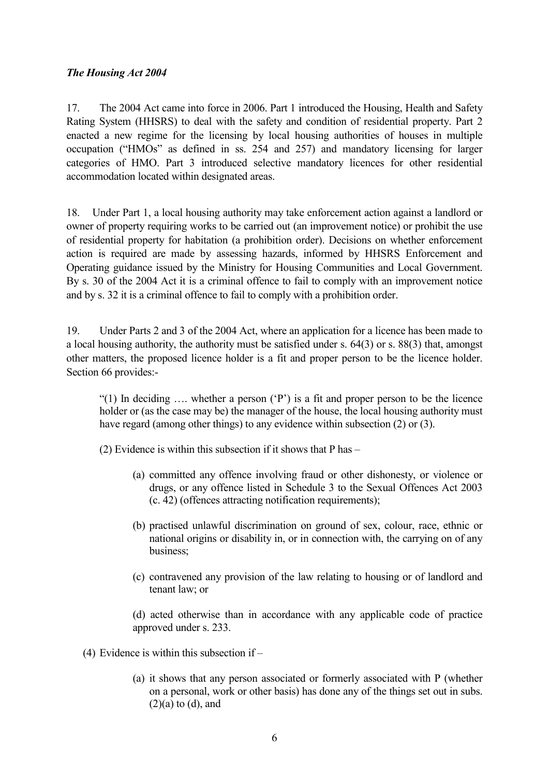## *The Housing Act 2004*

17. The 2004 Act came into force in 2006. Part 1 introduced the Housing, Health and Safety Rating System (HHSRS) to deal with the safety and condition of residential property. Part 2 enacted a new regime for the licensing by local housing authorities of houses in multiple occupation ("HMOs" as defined in ss. 254 and 257) and mandatory licensing for larger categories of HMO. Part 3 introduced selective mandatory licences for other residential accommodation located within designated areas.

18. Under Part 1, a local housing authority may take enforcement action against a landlord or owner of property requiring works to be carried out (an improvement notice) or prohibit the use of residential property for habitation (a prohibition order). Decisions on whether enforcement action is required are made by assessing hazards, informed by HHSRS Enforcement and Operating guidance issued by the Ministry for Housing Communities and Local Government. By s. 30 of the 2004 Act it is a criminal offence to fail to comply with an improvement notice and by s. 32 it is a criminal offence to fail to comply with a prohibition order.

19. Under Parts 2 and 3 of the 2004 Act, where an application for a licence has been made to a local housing authority, the authority must be satisfied under s. 64(3) or s. 88(3) that, amongst other matters, the proposed licence holder is a fit and proper person to be the licence holder. Section 66 provides:-

"(1) In deciding …. whether a person ('P') is a fit and proper person to be the licence holder or (as the case may be) the manager of the house, the local housing authority must have regard (among other things) to any evidence within subsection (2) or (3).

(2) Evidence is within this subsection if it shows that P has –

- (a) committed any offence involving fraud or other dishonesty, or violence or drugs, or any offence listed in Schedule 3 to the Sexual Offences Act 2003 (c. 42) (offences attracting notification requirements);
- (b) practised unlawful discrimination on ground of sex, colour, race, ethnic or national origins or disability in, or in connection with, the carrying on of any business;
- (c) contravened any provision of the law relating to housing or of landlord and tenant law; or

(d) acted otherwise than in accordance with any applicable code of practice approved under s. 233.

- (4) Evidence is within this subsection if  $-$ 
	- (a) it shows that any person associated or formerly associated with P (whether on a personal, work or other basis) has done any of the things set out in subs.  $(2)(a)$  to  $(d)$ , and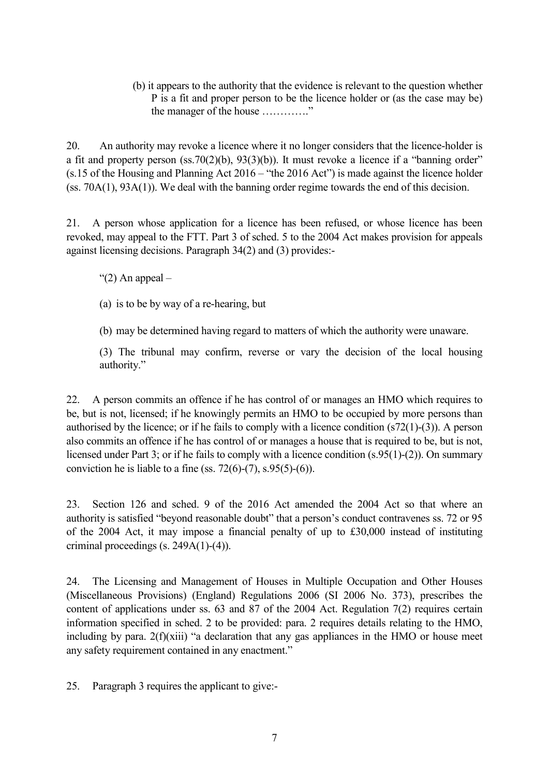(b) it appears to the authority that the evidence is relevant to the question whether P is a fit and proper person to be the licence holder or (as the case may be) the manager of the house …………."

20. An authority may revoke a licence where it no longer considers that the licence-holder is a fit and property person (ss.70(2)(b), 93(3)(b)). It must revoke a licence if a "banning order" (s.15 of the Housing and Planning Act 2016 – "the 2016 Act") is made against the licence holder (ss. 70A(1), 93A(1)). We deal with the banning order regime towards the end of this decision.

21. A person whose application for a licence has been refused, or whose licence has been revoked, may appeal to the FTT. Part 3 of sched. 5 to the 2004 Act makes provision for appeals against licensing decisions. Paragraph 34(2) and (3) provides:-

"(2) An appeal  $-$ 

(a) is to be by way of a re-hearing, but

(b) may be determined having regard to matters of which the authority were unaware.

(3) The tribunal may confirm, reverse or vary the decision of the local housing authority."

22. A person commits an offence if he has control of or manages an HMO which requires to be, but is not, licensed; if he knowingly permits an HMO to be occupied by more persons than authorised by the licence; or if he fails to comply with a licence condition (s72(1)-(3)). A person also commits an offence if he has control of or manages a house that is required to be, but is not, licensed under Part 3; or if he fails to comply with a licence condition (s.95(1)-(2)). On summary conviction he is liable to a fine (ss.  $72(6)-(7)$ , s. $95(5)-(6)$ ).

23. Section 126 and sched. 9 of the 2016 Act amended the 2004 Act so that where an authority is satisfied "beyond reasonable doubt" that a person's conduct contravenes ss. 72 or 95 of the 2004 Act, it may impose a financial penalty of up to £30,000 instead of instituting criminal proceedings (s. 249A(1)-(4)).

24. The Licensing and Management of Houses in Multiple Occupation and Other Houses (Miscellaneous Provisions) (England) Regulations 2006 (SI 2006 No. 373), prescribes the content of applications under ss. 63 and 87 of the 2004 Act. Regulation 7(2) requires certain information specified in sched. 2 to be provided: para. 2 requires details relating to the HMO, including by para. 2(f)(xiii) "a declaration that any gas appliances in the HMO or house meet any safety requirement contained in any enactment."

25. Paragraph 3 requires the applicant to give:-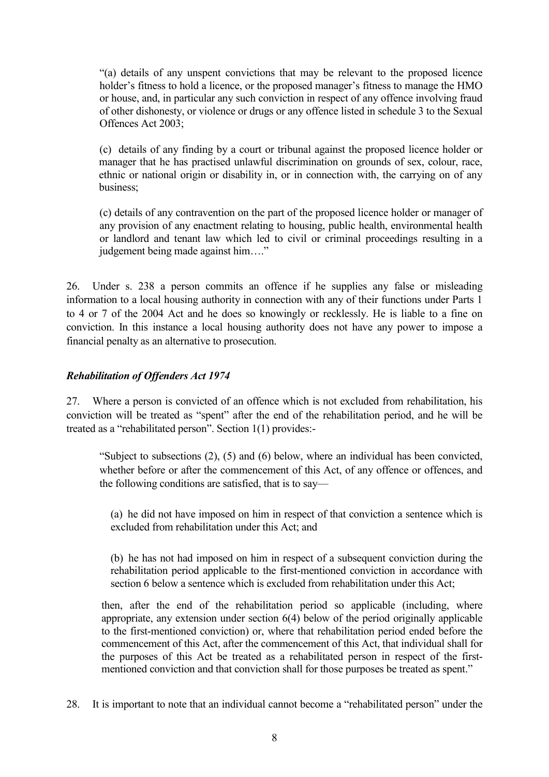"(a) details of any unspent convictions that may be relevant to the proposed licence holder's fitness to hold a licence, or the proposed manager's fitness to manage the HMO or house, and, in particular any such conviction in respect of any offence involving fraud of other dishonesty, or violence or drugs or any offence listed in schedule 3 to the Sexual Offences Act 2003;

(c) details of any finding by a court or tribunal against the proposed licence holder or manager that he has practised unlawful discrimination on grounds of sex, colour, race, ethnic or national origin or disability in, or in connection with, the carrying on of any business;

(c) details of any contravention on the part of the proposed licence holder or manager of any provision of any enactment relating to housing, public health, environmental health or landlord and tenant law which led to civil or criminal proceedings resulting in a judgement being made against him…."

26. Under s. 238 a person commits an offence if he supplies any false or misleading information to a local housing authority in connection with any of their functions under Parts 1 to 4 or 7 of the 2004 Act and he does so knowingly or recklessly. He is liable to a fine on conviction. In this instance a local housing authority does not have any power to impose a financial penalty as an alternative to prosecution.

# *Rehabilitation of Offenders Act 1974*

27. Where a person is convicted of an offence which is not excluded from rehabilitation, his conviction will be treated as "spent" after the end of the rehabilitation period, and he will be treated as a "rehabilitated person". Section 1(1) provides:-

"Subject to subsections (2), (5) and (6) below, where an individual has been convicted, whether before or after the commencement of this Act, of any offence or offences, and the following conditions are satisfied, that is to say—

(a) he did not have imposed on him in respect of that conviction a sentence which is excluded from rehabilitation under this Act; and

(b) he has not had imposed on him in respect of a subsequent conviction during the rehabilitation period applicable to the first-mentioned conviction in accordance with [section 6](http://uk.practicallaw.thomsonreuters.com/Document/I69AE9BC0E44811DA8D70A0E70A78ED65/View/FullText.html?originationContext=document&transitionType=DocumentItem&vr=3.0&rs=PLUK1.0&contextData=(sc.DocLink)) below a sentence which is excluded from rehabilitation under this Act;

then, after the end of the rehabilitation period so applicable (including, where appropriate, any extension under [section 6\(4\)](http://uk.practicallaw.thomsonreuters.com/Document/I69AE9BC0E44811DA8D70A0E70A78ED65/View/FullText.html?originationContext=document&transitionType=DocumentItem&vr=3.0&rs=PLUK1.0&contextData=(sc.DocLink)) below of the period originally applicable to the first-mentioned conviction) or, where that rehabilitation period ended before the commencement of this Act, after the commencement of this Act, that individual shall for the purposes of this Act be treated as a rehabilitated person in respect of the firstmentioned conviction and that conviction shall for those purposes be treated as spent."

28. It is important to note that an individual cannot become a "rehabilitated person" under the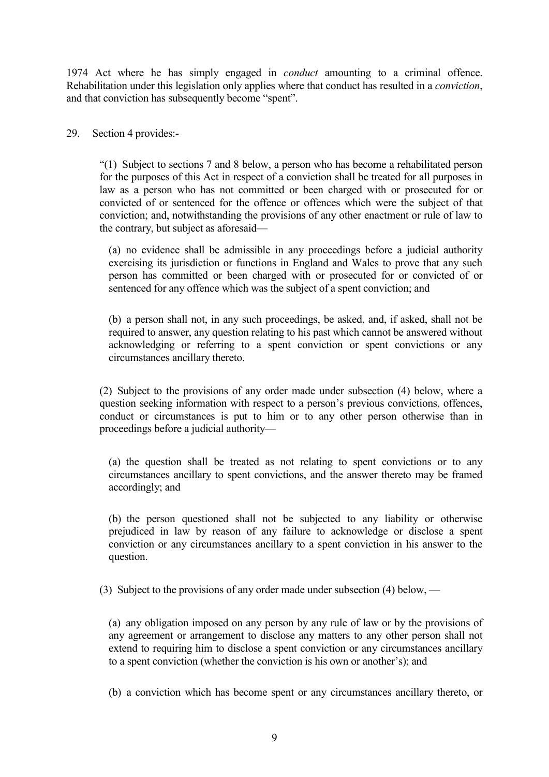1974 Act where he has simply engaged in *conduct* amounting to a criminal offence. Rehabilitation under this legislation only applies where that conduct has resulted in a *conviction*, and that conviction has subsequently become "spent".

29. Section 4 provides:-

"(1) Subject to [sections 7 and 8](http://uk.practicallaw.thomsonreuters.com/Document/IED80CB31E44811DA8D70A0E70A78ED65/View/FullText.html?originationContext=document&transitionType=DocumentItem&vr=3.0&rs=PLUK1.0&contextData=(sc.DocLink)) below, a person who has become a rehabilitated person for the purposes of this Act in respect of a conviction shall be treated for all purposes in law as a person who has not committed or been charged with or prosecuted for or convicted of or sentenced for the offence or offences which were the subject of that conviction; and, notwithstanding the provisions of any other enactment or rule of law to the contrary, but subject as aforesaid—

(a) no evidence shall be admissible in any proceedings before a judicial authority exercising its jurisdiction or functions in England and Wales to prove that any such person has committed or been charged with or prosecuted for or convicted of or sentenced for any offence which was the subject of a spent conviction; and

(b) a person shall not, in any such proceedings, be asked, and, if asked, shall not be required to answer, any question relating to his past which cannot be answered without acknowledging or referring to a spent conviction or spent convictions or any circumstances ancillary thereto.

(2) Subject to the provisions of any order made under subsection (4) below, where a question seeking information with respect to a person's previous convictions, offences, conduct or circumstances is put to him or to any other person otherwise than in proceedings before a judicial authority—

(a) the question shall be treated as not relating to spent convictions or to any circumstances ancillary to spent convictions, and the answer thereto may be framed accordingly; and

(b) the person questioned shall not be subjected to any liability or otherwise prejudiced in law by reason of any failure to acknowledge or disclose a spent conviction or any circumstances ancillary to a spent conviction in his answer to the question.

(3) Subject to the provisions of any order made under subsection (4) below, —

(a) any obligation imposed on any person by any rule of law or by the provisions of any agreement or arrangement to disclose any matters to any other person shall not extend to requiring him to disclose a spent conviction or any circumstances ancillary to a spent conviction (whether the conviction is his own or another's); and

(b) a conviction which has become spent or any circumstances ancillary thereto, or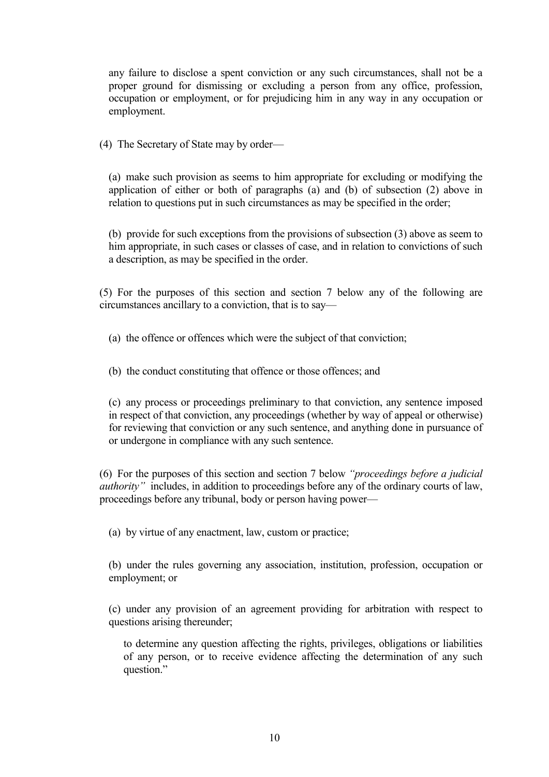any failure to disclose a spent conviction or any such circumstances, shall not be a proper ground for dismissing or excluding a person from any office, profession, occupation or employment, or for prejudicing him in any way in any occupation or employment.

(4) The Secretary of State may by order—

(a) make such provision as seems to him appropriate for excluding or modifying the application of either or both of paragraphs (a) and (b) of subsection (2) above in relation to questions put in such circumstances as may be specified in the order;

(b) provide for such exceptions from the provisions of subsection (3) above as seem to him appropriate, in such cases or classes of case, and in relation to convictions of such a description, as may be specified in the order.

(5) For the purposes of this section and [section 7](http://uk.practicallaw.thomsonreuters.com/Document/IED80CB31E44811DA8D70A0E70A78ED65/View/FullText.html?originationContext=document&transitionType=DocumentItem&vr=3.0&rs=PLUK1.0&contextData=(sc.DocLink)) below any of the following are circumstances ancillary to a conviction, that is to say—

(a) the offence or offences which were the subject of that conviction;

(b) the conduct constituting that offence or those offences; and

(c) any process or proceedings preliminary to that conviction, any sentence imposed in respect of that conviction, any proceedings (whether by way of appeal or otherwise) for reviewing that conviction or any such sentence, and anything done in pursuance of or undergone in compliance with any such sentence.

(6) For the purposes of this section and [section 7](http://uk.practicallaw.thomsonreuters.com/Document/IED80CB31E44811DA8D70A0E70A78ED65/View/FullText.html?originationContext=document&transitionType=DocumentItem&vr=3.0&rs=PLUK1.0&contextData=(sc.DocLink)) below *"proceedings before a judicial authority"* includes, in addition to proceedings before any of the ordinary courts of law, proceedings before any tribunal, body or person having power—

(a) by virtue of any enactment, law, custom or practice;

(b) under the rules governing any association, institution, profession, occupation or employment; or

(c) under any provision of an agreement providing for arbitration with respect to questions arising thereunder;

to determine any question affecting the rights, privileges, obligations or liabilities of any person, or to receive evidence affecting the determination of any such question."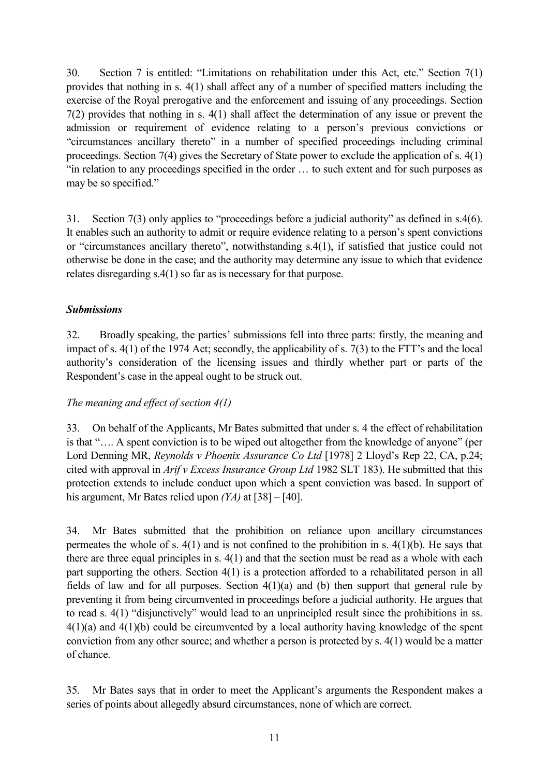30. Section 7 is entitled: "Limitations on rehabilitation under this Act, etc." Section 7(1) provides that nothing in s. 4(1) shall affect any of a number of specified matters including the exercise of the Royal prerogative and the enforcement and issuing of any proceedings. Section 7(2) provides that nothing in s. 4(1) shall affect the determination of any issue or prevent the admission or requirement of evidence relating to a person's previous convictions or "circumstances ancillary thereto" in a number of specified proceedings including criminal proceedings. Section 7(4) gives the Secretary of State power to exclude the application of s. 4(1) "in relation to any proceedings specified in the order … to such extent and for such purposes as may be so specified."

31. Section 7(3) only applies to "proceedings before a judicial authority" as defined in s.4(6). It enables such an authority to admit or require evidence relating to a person's spent convictions or "circumstances ancillary thereto", notwithstanding s.4(1), if satisfied that justice could not otherwise be done in the case; and the authority may determine any issue to which that evidence relates disregarding s.4(1) so far as is necessary for that purpose.

# *Submissions*

32. Broadly speaking, the parties' submissions fell into three parts: firstly, the meaning and impact of s. 4(1) of the 1974 Act; secondly, the applicability of s. 7(3) to the FTT's and the local authority's consideration of the licensing issues and thirdly whether part or parts of the Respondent's case in the appeal ought to be struck out.

# *The meaning and effect of section 4(1)*

33. On behalf of the Applicants, Mr Bates submitted that under s. 4 the effect of rehabilitation is that "…. A spent conviction is to be wiped out altogether from the knowledge of anyone" (per Lord Denning MR, *Reynolds v Phoenix Assurance Co Ltd* [1978] 2 Lloyd's Rep 22, CA, p.24; cited with approval in *Arif v Excess Insurance Group Ltd* 1982 SLT 183). He submitted that this protection extends to include conduct upon which a spent conviction was based. In support of his argument, Mr Bates relied upon *(YA)* at [38] – [40].

34. Mr Bates submitted that the prohibition on reliance upon ancillary circumstances permeates the whole of s. 4(1) and is not confined to the prohibition in s. 4(1)(b). He says that there are three equal principles in s. 4(1) and that the section must be read as a whole with each part supporting the others. Section 4(1) is a protection afforded to a rehabilitated person in all fields of law and for all purposes. Section  $4(1)(a)$  and (b) then support that general rule by preventing it from being circumvented in proceedings before a judicial authority. He argues that to read s. 4(1) "disjunctively" would lead to an unprincipled result since the prohibitions in ss. 4(1)(a) and 4(1)(b) could be circumvented by a local authority having knowledge of the spent conviction from any other source; and whether a person is protected by s. 4(1) would be a matter of chance.

35. Mr Bates says that in order to meet the Applicant's arguments the Respondent makes a series of points about allegedly absurd circumstances, none of which are correct.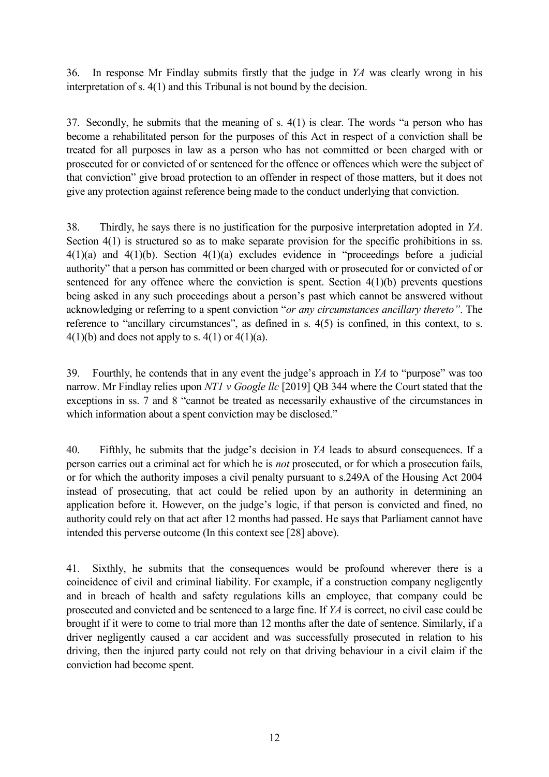36. In response Mr Findlay submits firstly that the judge in *YA* was clearly wrong in his interpretation of s. 4(1) and this Tribunal is not bound by the decision.

37. Secondly, he submits that the meaning of s. 4(1) is clear. The words "a person who has become a rehabilitated person for the purposes of this Act in respect of a conviction shall be treated for all purposes in law as a person who has not committed or been charged with or prosecuted for or convicted of or sentenced for the offence or offences which were the subject of that conviction" give broad protection to an offender in respect of those matters, but it does not give any protection against reference being made to the conduct underlying that conviction.

38. Thirdly, he says there is no justification for the purposive interpretation adopted in *YA*. Section 4(1) is structured so as to make separate provision for the specific prohibitions in ss. 4(1)(a) and 4(1)(b). Section 4(1)(a) excludes evidence in "proceedings before a judicial authority" that a person has committed or been charged with or prosecuted for or convicted of or sentenced for any offence where the conviction is spent. Section  $4(1)(b)$  prevents questions being asked in any such proceedings about a person's past which cannot be answered without acknowledging or referring to a spent conviction "*or any circumstances ancillary thereto"*. The reference to "ancillary circumstances", as defined in s. 4(5) is confined, in this context, to s.  $4(1)(b)$  and does not apply to s.  $4(1)$  or  $4(1)(a)$ .

39. Fourthly, he contends that in any event the judge's approach in *YA* to "purpose" was too narrow. Mr Findlay relies upon *NT1 v Google llc* [2019] QB 344 where the Court stated that the exceptions in ss. 7 and 8 "cannot be treated as necessarily exhaustive of the circumstances in which information about a spent conviction may be disclosed."

40. Fifthly, he submits that the judge's decision in *YA* leads to absurd consequences. If a person carries out a criminal act for which he is *not* prosecuted, or for which a prosecution fails, or for which the authority imposes a civil penalty pursuant to s.249A of the Housing Act 2004 instead of prosecuting, that act could be relied upon by an authority in determining an application before it. However, on the judge's logic, if that person is convicted and fined, no authority could rely on that act after 12 months had passed. He says that Parliament cannot have intended this perverse outcome (In this context see [28] above).

41. Sixthly, he submits that the consequences would be profound wherever there is a coincidence of civil and criminal liability. For example, if a construction company negligently and in breach of health and safety regulations kills an employee, that company could be prosecuted and convicted and be sentenced to a large fine. If *YA* is correct, no civil case could be brought if it were to come to trial more than 12 months after the date of sentence. Similarly, if a driver negligently caused a car accident and was successfully prosecuted in relation to his driving, then the injured party could not rely on that driving behaviour in a civil claim if the conviction had become spent.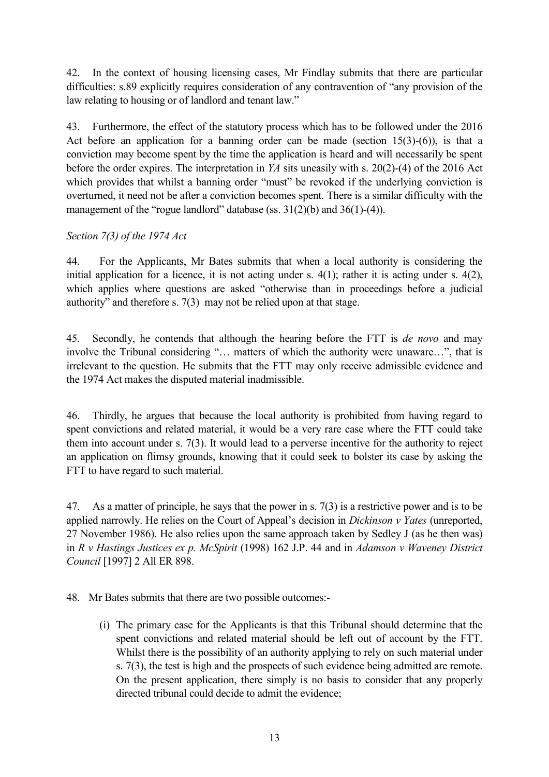42. In the context of housing licensing cases, Mr Findlay submits that there are particular difficulties: s.89 explicitly requires consideration of any contravention of "any provision of the law relating to housing or of landlord and tenant law."

43. Furthermore, the effect of the statutory process which has to be followed under the 2016 Act before an application for a banning order can be made (section  $15(3)-(6)$ ), is that a conviction may become spent by the time the application is heard and will necessarily be spent before the order expires. The interpretation in *YA* sits uneasily with s. 20(2)-(4) of the 2016 Act which provides that whilst a banning order "must" be revoked if the underlying conviction is overturned, it need not be after a conviction becomes spent. There is a similar difficulty with the management of the "rogue landlord" database (ss. 31(2)(b) and 36(1)-(4)).

# *Section 7(3) of the 1974 Act*

44. For the Applicants, Mr Bates submits that when a local authority is considering the initial application for a licence, it is not acting under s.  $4(1)$ ; rather it is acting under s.  $4(2)$ , which applies where questions are asked "otherwise than in proceedings before a judicial authority" and therefore s. 7(3) may not be relied upon at that stage.

45. Secondly, he contends that although the hearing before the FTT is *de novo* and may involve the Tribunal considering "… matters of which the authority were unaware…", that is irrelevant to the question. He submits that the FTT may only receive admissible evidence and the 1974 Act makes the disputed material inadmissible.

46. Thirdly, he argues that because the local authority is prohibited from having regard to spent convictions and related material, it would be a very rare case where the FTT could take them into account under s. 7(3). It would lead to a perverse incentive for the authority to reject an application on flimsy grounds, knowing that it could seek to bolster its case by asking the FTT to have regard to such material.

47. As a matter of principle, he says that the power in s. 7(3) is a restrictive power and is to be applied narrowly. He relies on the Court of Appeal's decision in *Dickinson v Yates* (unreported, 27 November 1986). He also relies upon the same approach taken by Sedley J (as he then was) in *R v Hastings Justices ex p. McSpirit* (1998) 162 J.P. 44 and in *Adamson v Waveney District Council* [1997] 2 All ER 898.

48. Mr Bates submits that there are two possible outcomes:-

(i) The primary case for the Applicants is that this Tribunal should determine that the spent convictions and related material should be left out of account by the FTT. Whilst there is the possibility of an authority applying to rely on such material under s. 7(3), the test is high and the prospects of such evidence being admitted are remote. On the present application, there simply is no basis to consider that any properly directed tribunal could decide to admit the evidence;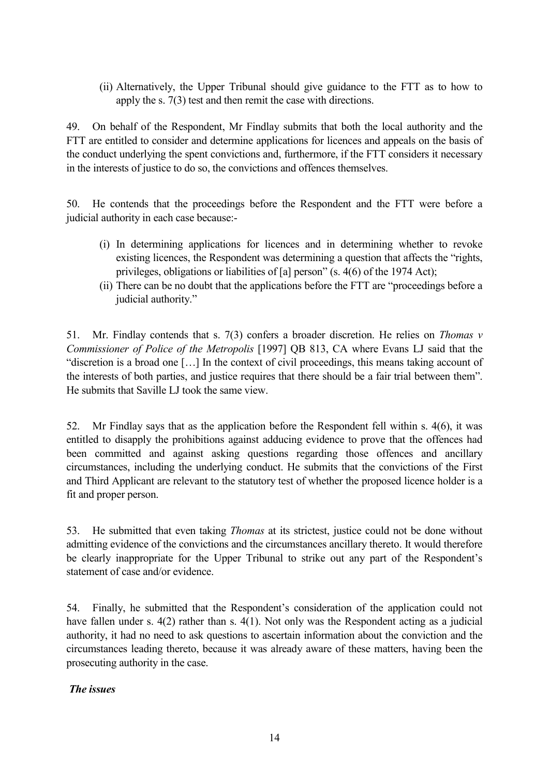(ii) Alternatively, the Upper Tribunal should give guidance to the FTT as to how to apply the s. 7(3) test and then remit the case with directions.

49. On behalf of the Respondent, Mr Findlay submits that both the local authority and the FTT are entitled to consider and determine applications for licences and appeals on the basis of the conduct underlying the spent convictions and, furthermore, if the FTT considers it necessary in the interests of justice to do so, the convictions and offences themselves.

50. He contends that the proceedings before the Respondent and the FTT were before a judicial authority in each case because:-

- (i) In determining applications for licences and in determining whether to revoke existing licences, the Respondent was determining a question that affects the "rights, privileges, obligations or liabilities of [a] person" (s. 4(6) of the 1974 Act);
- (ii) There can be no doubt that the applications before the FTT are "proceedings before a judicial authority."

51. Mr. Findlay contends that s. 7(3) confers a broader discretion. He relies on *Thomas v Commissioner of Police of the Metropolis* [1997] QB 813, CA where Evans LJ said that the "discretion is a broad one […] In the context of civil proceedings, this means taking account of the interests of both parties, and justice requires that there should be a fair trial between them". He submits that Saville LJ took the same view.

52. Mr Findlay says that as the application before the Respondent fell within s. 4(6), it was entitled to disapply the prohibitions against adducing evidence to prove that the offences had been committed and against asking questions regarding those offences and ancillary circumstances, including the underlying conduct. He submits that the convictions of the First and Third Applicant are relevant to the statutory test of whether the proposed licence holder is a fit and proper person.

53. He submitted that even taking *Thomas* at its strictest, justice could not be done without admitting evidence of the convictions and the circumstances ancillary thereto. It would therefore be clearly inappropriate for the Upper Tribunal to strike out any part of the Respondent's statement of case and/or evidence.

54. Finally, he submitted that the Respondent's consideration of the application could not have fallen under s. 4(2) rather than s. 4(1). Not only was the Respondent acting as a judicial authority, it had no need to ask questions to ascertain information about the conviction and the circumstances leading thereto, because it was already aware of these matters, having been the prosecuting authority in the case.

*The issues*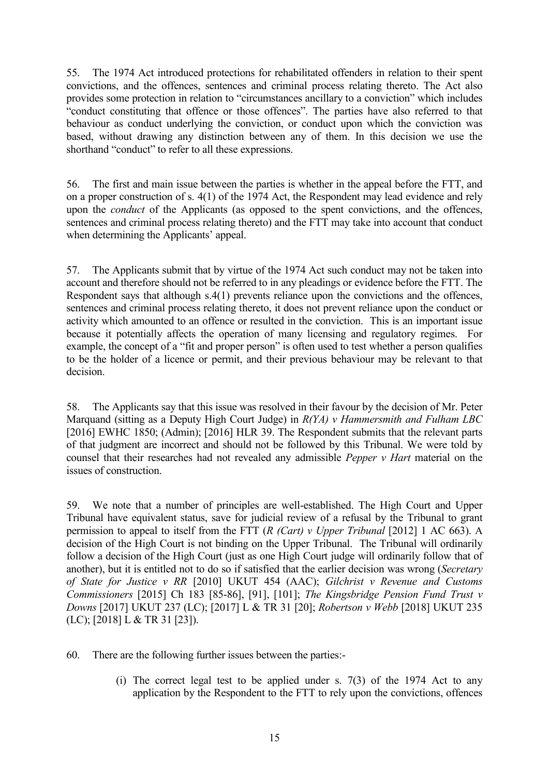55. The 1974 Act introduced protections for rehabilitated offenders in relation to their spent convictions, and the offences, sentences and criminal process relating thereto. The Act also provides some protection in relation to "circumstances ancillary to a conviction" which includes "conduct constituting that offence or those offences". The parties have also referred to that behaviour as conduct underlying the conviction, or conduct upon which the conviction was based, without drawing any distinction between any of them. In this decision we use the shorthand "conduct" to refer to all these expressions.

56. The first and main issue between the parties is whether in the appeal before the FTT, and on a proper construction of s. 4(1) of the 1974 Act, the Respondent may lead evidence and rely upon the *conduct* of the Applicants (as opposed to the spent convictions, and the offences, sentences and criminal process relating thereto) and the FTT may take into account that conduct when determining the Applicants' appeal.

57. The Applicants submit that by virtue of the 1974 Act such conduct may not be taken into account and therefore should not be referred to in any pleadings or evidence before the FTT. The Respondent says that although s.4(1) prevents reliance upon the convictions and the offences, sentences and criminal process relating thereto, it does not prevent reliance upon the conduct or activity which amounted to an offence or resulted in the conviction. This is an important issue because it potentially affects the operation of many licensing and regulatory regimes. For example, the concept of a "fit and proper person" is often used to test whether a person qualifies to be the holder of a licence or permit, and their previous behaviour may be relevant to that decision.

58. The Applicants say that this issue was resolved in their favour by the decision of Mr. Peter Marquand (sitting as a Deputy High Court Judge) in *R(YA) v Hammersmith and Fulham LBC*  [2016] EWHC 1850; (Admin); [2016] HLR 39. The Respondent submits that the relevant parts of that judgment are incorrect and should not be followed by this Tribunal. We were told by counsel that their researches had not revealed any admissible *Pepper v Hart* material on the issues of construction.

59. We note that a number of principles are well-established. The High Court and Upper Tribunal have equivalent status, save for judicial review of a refusal by the Tribunal to grant permission to appeal to itself from the FTT (*R (Cart) v Upper Tribunal* [2012] 1 AC 663). A decision of the High Court is not binding on the Upper Tribunal. The Tribunal will ordinarily follow a decision of the High Court (just as one High Court judge will ordinarily follow that of another), but it is entitled not to do so if satisfied that the earlier decision was wrong (*Secretary of State for Justice v RR* [2010] UKUT 454 (AAC); *Gilchrist v Revenue and Customs Commissioners* [2015] Ch 183 [85-86], [91], [101]; *The Kingsbridge Pension Fund Trust v Downs* [2017] UKUT 237 (LC); [2017] L & TR 31 [20]; *Robertson v Webb* [2018] UKUT 235 (LC); [2018] L & TR 31 [23]).

- 60. There are the following further issues between the parties:-
	- (i) The correct legal test to be applied under s.  $7(3)$  of the 1974 Act to any application by the Respondent to the FTT to rely upon the convictions, offences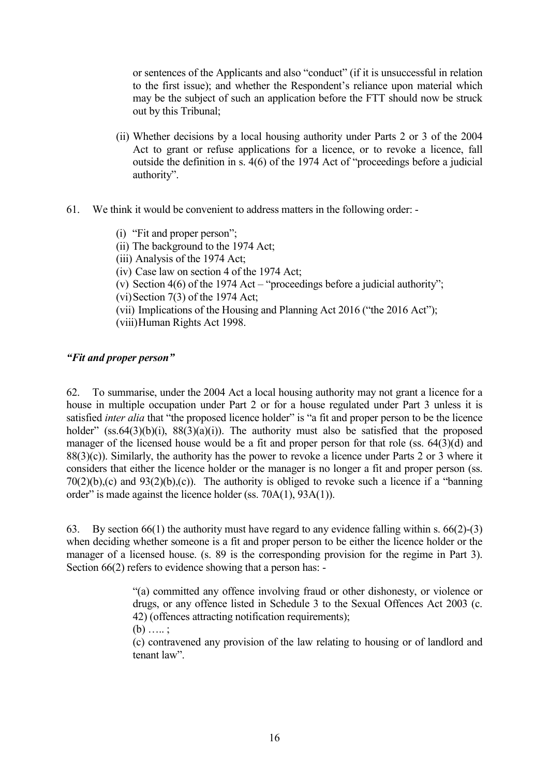or sentences of the Applicants and also "conduct" (if it is unsuccessful in relation to the first issue); and whether the Respondent's reliance upon material which may be the subject of such an application before the FTT should now be struck out by this Tribunal;

- (ii) Whether decisions by a local housing authority under Parts 2 or 3 of the 2004 Act to grant or refuse applications for a licence, or to revoke a licence, fall outside the definition in s. 4(6) of the 1974 Act of "proceedings before a judicial authority".
- 61. We think it would be convenient to address matters in the following order:
	- (i) "Fit and proper person";
	- (ii) The background to the 1974 Act;
	- (iii) Analysis of the 1974 Act;
	- (iv) Case law on section 4 of the 1974 Act;
	- (v) Section 4(6) of the 1974 Act "proceedings before a judicial authority";
	- (vi) Section  $7(3)$  of the 1974 Act;
	- (vii) Implications of the Housing and Planning Act 2016 ("the 2016 Act");
	- (viii)Human Rights Act 1998.

## *"Fit and proper person"*

62. To summarise, under the 2004 Act a local housing authority may not grant a licence for a house in multiple occupation under Part 2 or for a house regulated under Part 3 unless it is satisfied *inter alia* that "the proposed licence holder" is "a fit and proper person to be the licence holder"  $(ss.64(3)(b)(i)$ ,  $88(3)(a)(i)$ ). The authority must also be satisfied that the proposed manager of the licensed house would be a fit and proper person for that role (ss. 64(3)(d) and 88(3)(c)). Similarly, the authority has the power to revoke a licence under Parts 2 or 3 where it considers that either the licence holder or the manager is no longer a fit and proper person (ss.  $70(2)(b)$ ,(c) and  $93(2)(b)$ ,(c)). The authority is obliged to revoke such a licence if a "banning order" is made against the licence holder (ss. 70A(1), 93A(1)).

63. By section 66(1) the authority must have regard to any evidence falling within s. 66(2)-(3) when deciding whether someone is a fit and proper person to be either the licence holder or the manager of a licensed house. (s. 89 is the corresponding provision for the regime in Part 3). Section  $66(2)$  refers to evidence showing that a person has: -

> "(a) committed any offence involving fraud or other dishonesty, or violence or drugs, or any offence listed in Schedule 3 to the Sexual Offences Act 2003 (c. 42) (offences attracting notification requirements);

 $(b)$  .....;

(c) contravened any provision of the law relating to housing or of landlord and tenant law".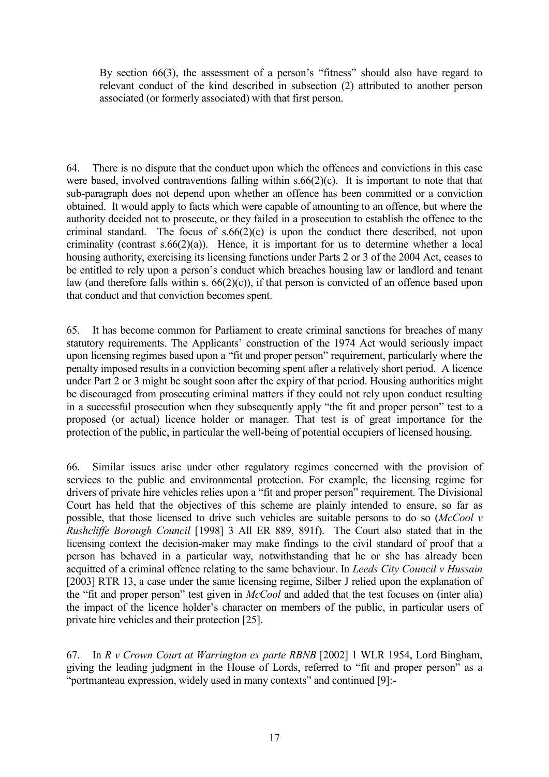By section 66(3), the assessment of a person's "fitness" should also have regard to relevant conduct of the kind described in subsection (2) attributed to another person associated (or formerly associated) with that first person.

64. There is no dispute that the conduct upon which the offences and convictions in this case were based, involved contraventions falling within  $s.66(2)(c)$ . It is important to note that that sub-paragraph does not depend upon whether an offence has been committed or a conviction obtained. It would apply to facts which were capable of amounting to an offence, but where the authority decided not to prosecute, or they failed in a prosecution to establish the offence to the criminal standard. The focus of  $s.66(2)(c)$  is upon the conduct there described, not upon criminality (contrast  $s.66(2)(a)$ ). Hence, it is important for us to determine whether a local housing authority, exercising its licensing functions under Parts 2 or 3 of the 2004 Act, ceases to be entitled to rely upon a person's conduct which breaches housing law or landlord and tenant law (and therefore falls within s. 66(2)(c)), if that person is convicted of an offence based upon that conduct and that conviction becomes spent.

65. It has become common for Parliament to create criminal sanctions for breaches of many statutory requirements. The Applicants' construction of the 1974 Act would seriously impact upon licensing regimes based upon a "fit and proper person" requirement, particularly where the penalty imposed results in a conviction becoming spent after a relatively short period. A licence under Part 2 or 3 might be sought soon after the expiry of that period. Housing authorities might be discouraged from prosecuting criminal matters if they could not rely upon conduct resulting in a successful prosecution when they subsequently apply "the fit and proper person" test to a proposed (or actual) licence holder or manager. That test is of great importance for the protection of the public, in particular the well-being of potential occupiers of licensed housing.

66. Similar issues arise under other regulatory regimes concerned with the provision of services to the public and environmental protection. For example, the licensing regime for drivers of private hire vehicles relies upon a "fit and proper person" requirement. The Divisional Court has held that the objectives of this scheme are plainly intended to ensure, so far as possible, that those licensed to drive such vehicles are suitable persons to do so (*McCool v Rushcliffe Borough Council* [1998] 3 All ER 889, 891f). The Court also stated that in the licensing context the decision-maker may make findings to the civil standard of proof that a person has behaved in a particular way, notwithstanding that he or she has already been acquitted of a criminal offence relating to the same behaviour. In *Leeds City Council v Hussain* [2003] RTR 13, a case under the same licensing regime, Silber J relied upon the explanation of the "fit and proper person" test given in *McCool* and added that the test focuses on (inter alia) the impact of the licence holder's character on members of the public, in particular users of private hire vehicles and their protection [25].

67. In *R v Crown Court at Warrington ex parte RBNB* [2002] 1 WLR 1954, Lord Bingham, giving the leading judgment in the House of Lords, referred to "fit and proper person" as a "portmanteau expression, widely used in many contexts" and continued [9]:-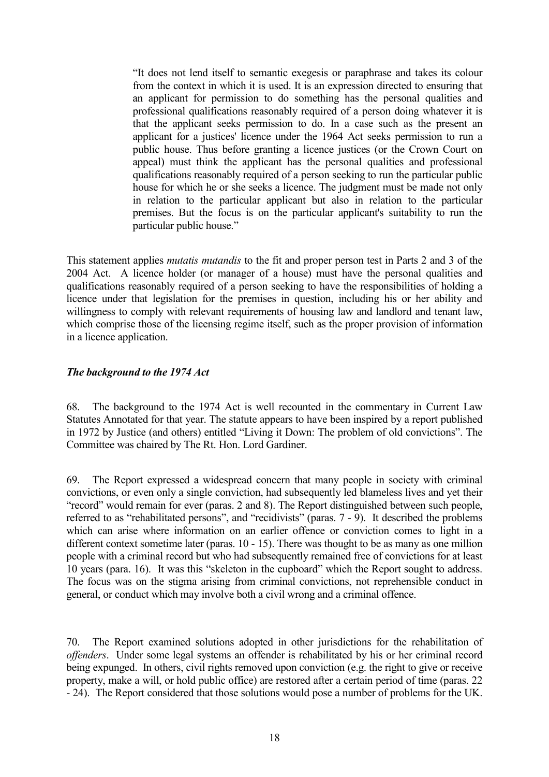"It does not lend itself to semantic exegesis or paraphrase and takes its colour from the context in which it is used. It is an expression directed to ensuring that an applicant for permission to do something has the personal qualities and professional qualifications reasonably required of a person doing whatever it is that the applicant seeks permission to do. In a case such as the present an applicant for a justices' licence under the 1964 Act seeks permission to run a public house. Thus before granting a licence justices (or the Crown Court on appeal) must think the applicant has the personal qualities and professional qualifications reasonably required of a person seeking to run the particular public house for which he or she seeks a licence. The judgment must be made not only in relation to the particular applicant but also in relation to the particular premises. But the focus is on the particular applicant's suitability to run the particular public house."

This statement applies *mutatis mutandis* to the fit and proper person test in Parts 2 and 3 of the 2004 Act. A licence holder (or manager of a house) must have the personal qualities and qualifications reasonably required of a person seeking to have the responsibilities of holding a licence under that legislation for the premises in question, including his or her ability and willingness to comply with relevant requirements of housing law and landlord and tenant law, which comprise those of the licensing regime itself, such as the proper provision of information in a licence application.

### *The background to the 1974 Act*

68. The background to the 1974 Act is well recounted in the commentary in Current Law Statutes Annotated for that year. The statute appears to have been inspired by a report published in 1972 by Justice (and others) entitled "Living it Down: The problem of old convictions". The Committee was chaired by The Rt. Hon. Lord Gardiner.

69. The Report expressed a widespread concern that many people in society with criminal convictions, or even only a single conviction, had subsequently led blameless lives and yet their "record" would remain for ever (paras. 2 and 8). The Report distinguished between such people, referred to as "rehabilitated persons", and "recidivists" (paras. 7 - 9). It described the problems which can arise where information on an earlier offence or conviction comes to light in a different context sometime later (paras. 10 - 15). There was thought to be as many as one million people with a criminal record but who had subsequently remained free of convictions for at least 10 years (para. 16). It was this "skeleton in the cupboard" which the Report sought to address. The focus was on the stigma arising from criminal convictions, not reprehensible conduct in general, or conduct which may involve both a civil wrong and a criminal offence.

70. The Report examined solutions adopted in other jurisdictions for the rehabilitation of *offenders*. Under some legal systems an offender is rehabilitated by his or her criminal record being expunged. In others, civil rights removed upon conviction (e.g. the right to give or receive property, make a will, or hold public office) are restored after a certain period of time (paras. 22 - 24). The Report considered that those solutions would pose a number of problems for the UK.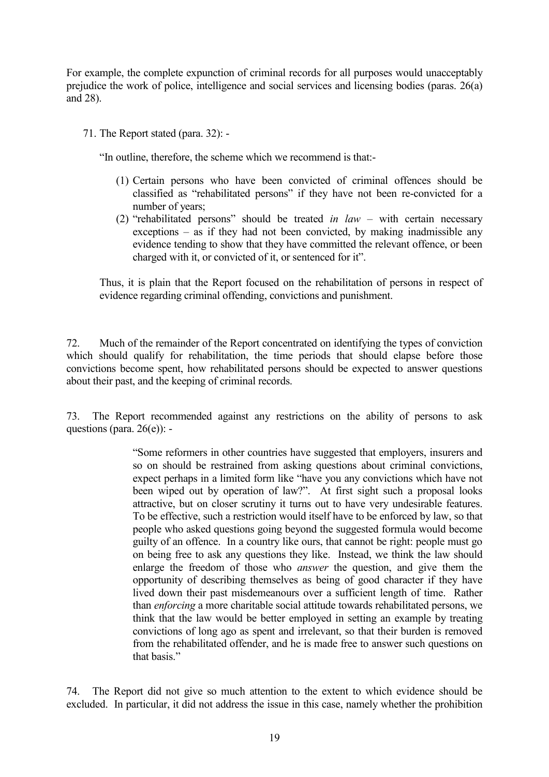For example, the complete expunction of criminal records for all purposes would unacceptably prejudice the work of police, intelligence and social services and licensing bodies (paras. 26(a) and 28).

71. The Report stated (para. 32): -

"In outline, therefore, the scheme which we recommend is that:-

- (1) Certain persons who have been convicted of criminal offences should be classified as "rehabilitated persons" if they have not been re-convicted for a number of years;
- (2) "rehabilitated persons" should be treated *in law* with certain necessary exceptions – as if they had not been convicted, by making inadmissible any evidence tending to show that they have committed the relevant offence, or been charged with it, or convicted of it, or sentenced for it".

Thus, it is plain that the Report focused on the rehabilitation of persons in respect of evidence regarding criminal offending, convictions and punishment.

72. Much of the remainder of the Report concentrated on identifying the types of conviction which should qualify for rehabilitation, the time periods that should elapse before those convictions become spent, how rehabilitated persons should be expected to answer questions about their past, and the keeping of criminal records.

73. The Report recommended against any restrictions on the ability of persons to ask questions (para. 26(e)): -

> "Some reformers in other countries have suggested that employers, insurers and so on should be restrained from asking questions about criminal convictions, expect perhaps in a limited form like "have you any convictions which have not been wiped out by operation of law?". At first sight such a proposal looks attractive, but on closer scrutiny it turns out to have very undesirable features. To be effective, such a restriction would itself have to be enforced by law, so that people who asked questions going beyond the suggested formula would become guilty of an offence. In a country like ours, that cannot be right: people must go on being free to ask any questions they like. Instead, we think the law should enlarge the freedom of those who *answer* the question, and give them the opportunity of describing themselves as being of good character if they have lived down their past misdemeanours over a sufficient length of time. Rather than *enforcing* a more charitable social attitude towards rehabilitated persons, we think that the law would be better employed in setting an example by treating convictions of long ago as spent and irrelevant, so that their burden is removed from the rehabilitated offender, and he is made free to answer such questions on that basis."

74. The Report did not give so much attention to the extent to which evidence should be excluded. In particular, it did not address the issue in this case, namely whether the prohibition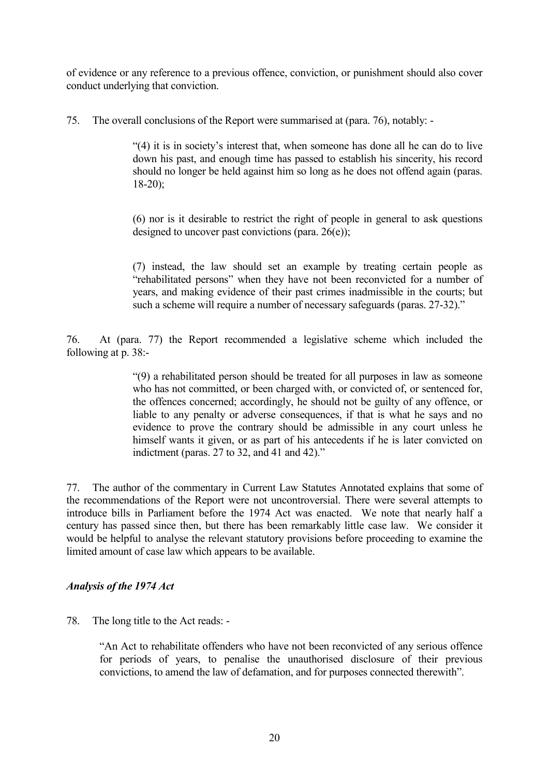of evidence or any reference to a previous offence, conviction, or punishment should also cover conduct underlying that conviction.

75. The overall conclusions of the Report were summarised at (para. 76), notably: -

"(4) it is in society's interest that, when someone has done all he can do to live down his past, and enough time has passed to establish his sincerity, his record should no longer be held against him so long as he does not offend again (paras. 18-20);

(6) nor is it desirable to restrict the right of people in general to ask questions designed to uncover past convictions (para. 26(e));

(7) instead, the law should set an example by treating certain people as "rehabilitated persons" when they have not been reconvicted for a number of years, and making evidence of their past crimes inadmissible in the courts; but such a scheme will require a number of necessary safeguards (paras. 27-32)."

76. At (para. 77) the Report recommended a legislative scheme which included the following at p. 38:-

> "(9) a rehabilitated person should be treated for all purposes in law as someone who has not committed, or been charged with, or convicted of, or sentenced for, the offences concerned; accordingly, he should not be guilty of any offence, or liable to any penalty or adverse consequences, if that is what he says and no evidence to prove the contrary should be admissible in any court unless he himself wants it given, or as part of his antecedents if he is later convicted on indictment (paras. 27 to 32, and 41 and 42)."

77. The author of the commentary in Current Law Statutes Annotated explains that some of the recommendations of the Report were not uncontroversial. There were several attempts to introduce bills in Parliament before the 1974 Act was enacted. We note that nearly half a century has passed since then, but there has been remarkably little case law. We consider it would be helpful to analyse the relevant statutory provisions before proceeding to examine the limited amount of case law which appears to be available.

### *Analysis of the 1974 Act*

78. The long title to the Act reads: -

"An Act to rehabilitate offenders who have not been reconvicted of any serious offence for periods of years, to penalise the unauthorised disclosure of their previous convictions, to amend the law of defamation, and for purposes connected therewith".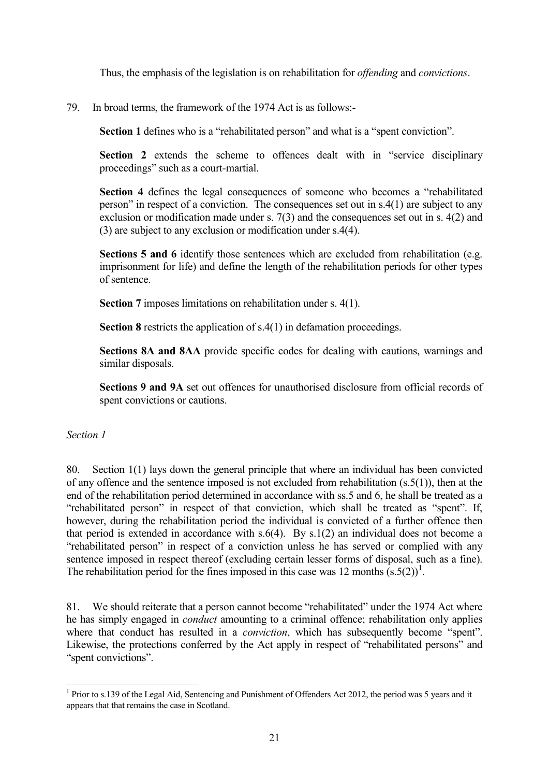Thus, the emphasis of the legislation is on rehabilitation for *offending* and *convictions*.

79. In broad terms, the framework of the 1974 Act is as follows:-

**Section 1** defines who is a "rehabilitated person" and what is a "spent conviction".

**Section 2** extends the scheme to offences dealt with in "service disciplinary proceedings" such as a court-martial.

**Section 4** defines the legal consequences of someone who becomes a "rehabilitated person" in respect of a conviction. The consequences set out in s.4(1) are subject to any exclusion or modification made under s. 7(3) and the consequences set out in s. 4(2) and (3) are subject to any exclusion or modification under s.4(4).

Sections 5 and 6 identify those sentences which are excluded from rehabilitation (e.g. imprisonment for life) and define the length of the rehabilitation periods for other types of sentence.

**Section 7** imposes limitations on rehabilitation under s. 4(1).

**Section 8** restricts the application of s.4(1) in defamation proceedings.

**Sections 8A and 8AA** provide specific codes for dealing with cautions, warnings and similar disposals.

**Sections 9 and 9A** set out offences for unauthorised disclosure from official records of spent convictions or cautions.

# *Section 1*

80. Section 1(1) lays down the general principle that where an individual has been convicted of any offence and the sentence imposed is not excluded from rehabilitation (s.5(1)), then at the end of the rehabilitation period determined in accordance with ss.5 and 6, he shall be treated as a "rehabilitated person" in respect of that conviction, which shall be treated as "spent". If, however, during the rehabilitation period the individual is convicted of a further offence then that period is extended in accordance with s.6(4). By s.1(2) an individual does not become a "rehabilitated person" in respect of a conviction unless he has served or complied with any sentence imposed in respect thereof (excluding certain lesser forms of disposal, such as a fine). The rehabilitation period for the fines imposed in this case was [1](#page-20-0)2 months  $(s.5(2))^{1}$ .

81. We should reiterate that a person cannot become "rehabilitated" under the 1974 Act where he has simply engaged in *conduct* amounting to a criminal offence; rehabilitation only applies where that conduct has resulted in a *conviction*, which has subsequently become "spent". Likewise, the protections conferred by the Act apply in respect of "rehabilitated persons" and "spent convictions".

<span id="page-20-0"></span> $1$  Prior to s.139 of the Legal Aid, Sentencing and Punishment of Offenders Act 2012, the period was 5 years and it appears that that remains the case in Scotland.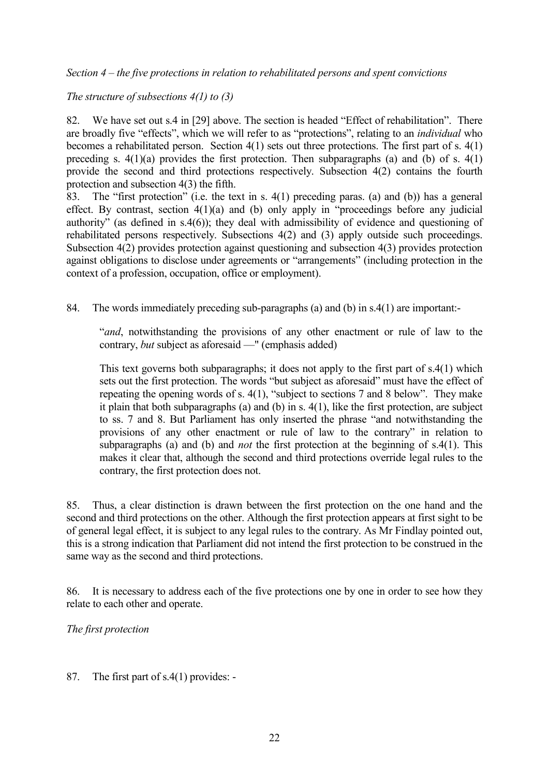*Section 4 – the five protections in relation to rehabilitated persons and spent convictions*

*The structure of subsections 4(1) to (3)*

82. We have set out s.4 in [29] above. The section is headed "Effect of rehabilitation". There are broadly five "effects", which we will refer to as "protections", relating to an *individual* who becomes a rehabilitated person. Section 4(1) sets out three protections. The first part of s. 4(1) preceding s.  $4(1)(a)$  provides the first protection. Then subparagraphs (a) and (b) of s.  $4(1)$ provide the second and third protections respectively. Subsection 4(2) contains the fourth protection and subsection 4(3) the fifth.

83. The "first protection" (i.e. the text in s. 4(1) preceding paras. (a) and (b)) has a general effect. By contrast, section 4(1)(a) and (b) only apply in "proceedings before any judicial authority" (as defined in s.4(6)); they deal with admissibility of evidence and questioning of rehabilitated persons respectively. Subsections 4(2) and (3) apply outside such proceedings. Subsection 4(2) provides protection against questioning and subsection 4(3) provides protection against obligations to disclose under agreements or "arrangements" (including protection in the context of a profession, occupation, office or employment).

84. The words immediately preceding sub-paragraphs (a) and (b) in s.4(1) are important:-

"*and*, notwithstanding the provisions of any other enactment or rule of law to the contrary, *but* subject as aforesaid —" (emphasis added)

This text governs both subparagraphs; it does not apply to the first part of s.4(1) which sets out the first protection. The words "but subject as aforesaid" must have the effect of repeating the opening words of s. 4(1), "subject to sections 7 and 8 below". They make it plain that both subparagraphs (a) and (b) in s. 4(1), like the first protection, are subject to ss. 7 and 8. But Parliament has only inserted the phrase "and notwithstanding the provisions of any other enactment or rule of law to the contrary" in relation to subparagraphs (a) and (b) and *not* the first protection at the beginning of s.4(1). This makes it clear that, although the second and third protections override legal rules to the contrary, the first protection does not.

85. Thus, a clear distinction is drawn between the first protection on the one hand and the second and third protections on the other. Although the first protection appears at first sight to be of general legal effect, it is subject to any legal rules to the contrary. As Mr Findlay pointed out, this is a strong indication that Parliament did not intend the first protection to be construed in the same way as the second and third protections.

86. It is necessary to address each of the five protections one by one in order to see how they relate to each other and operate.

*The first protection*

87. The first part of s.4(1) provides: -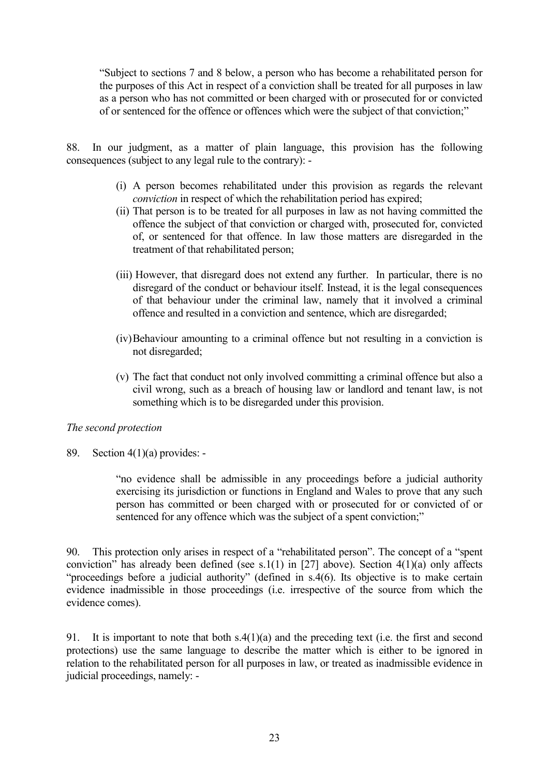"Subject to sections 7 and 8 below, a person who has become a rehabilitated person for the purposes of this Act in respect of a conviction shall be treated for all purposes in law as a person who has not committed or been charged with or prosecuted for or convicted of or sentenced for the offence or offences which were the subject of that conviction;"

88. In our judgment, as a matter of plain language, this provision has the following consequences (subject to any legal rule to the contrary): -

- (i) A person becomes rehabilitated under this provision as regards the relevant *conviction* in respect of which the rehabilitation period has expired;
- (ii) That person is to be treated for all purposes in law as not having committed the offence the subject of that conviction or charged with, prosecuted for, convicted of, or sentenced for that offence. In law those matters are disregarded in the treatment of that rehabilitated person;
- (iii) However, that disregard does not extend any further. In particular, there is no disregard of the conduct or behaviour itself. Instead, it is the legal consequences of that behaviour under the criminal law, namely that it involved a criminal offence and resulted in a conviction and sentence, which are disregarded;
- (iv)Behaviour amounting to a criminal offence but not resulting in a conviction is not disregarded;
- (v) The fact that conduct not only involved committing a criminal offence but also a civil wrong, such as a breach of housing law or landlord and tenant law, is not something which is to be disregarded under this provision.

### *The second protection*

89. Section 4(1)(a) provides: -

"no evidence shall be admissible in any proceedings before a judicial authority exercising its jurisdiction or functions in England and Wales to prove that any such person has committed or been charged with or prosecuted for or convicted of or sentenced for any offence which was the subject of a spent conviction;"

90. This protection only arises in respect of a "rehabilitated person". The concept of a "spent conviction" has already been defined (see s.1(1) in [27] above). Section  $4(1)(a)$  only affects "proceedings before a judicial authority" (defined in s.4(6). Its objective is to make certain evidence inadmissible in those proceedings (i.e. irrespective of the source from which the evidence comes).

91. It is important to note that both s.4(1)(a) and the preceding text (i.e. the first and second protections) use the same language to describe the matter which is either to be ignored in relation to the rehabilitated person for all purposes in law, or treated as inadmissible evidence in judicial proceedings, namely: -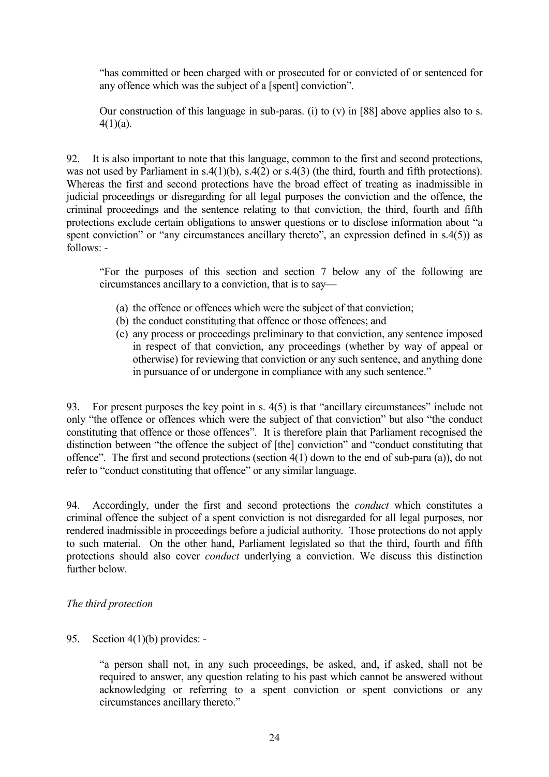"has committed or been charged with or prosecuted for or convicted of or sentenced for any offence which was the subject of a [spent] conviction".

Our construction of this language in sub-paras. (i) to (v) in [88] above applies also to s.  $4(1)(a)$ .

92. It is also important to note that this language, common to the first and second protections, was not used by Parliament in s.4(1)(b), s.4(2) or s.4(3) (the third, fourth and fifth protections). Whereas the first and second protections have the broad effect of treating as inadmissible in judicial proceedings or disregarding for all legal purposes the conviction and the offence, the criminal proceedings and the sentence relating to that conviction, the third, fourth and fifth protections exclude certain obligations to answer questions or to disclose information about "a spent conviction" or "any circumstances ancillary thereto", an expression defined in s.4(5)) as follows: -

"For the purposes of this section and section 7 below any of the following are circumstances ancillary to a conviction, that is to say—

- (a) the offence or offences which were the subject of that conviction;
- (b) the conduct constituting that offence or those offences; and
- (c) any process or proceedings preliminary to that conviction, any sentence imposed in respect of that conviction, any proceedings (whether by way of appeal or otherwise) for reviewing that conviction or any such sentence, and anything done in pursuance of or undergone in compliance with any such sentence."

93. For present purposes the key point in s. 4(5) is that "ancillary circumstances" include not only "the offence or offences which were the subject of that conviction" but also "the conduct constituting that offence or those offences". It is therefore plain that Parliament recognised the distinction between "the offence the subject of [the] conviction" and "conduct constituting that offence". The first and second protections (section 4(1) down to the end of sub-para (a)), do not refer to "conduct constituting that offence" or any similar language.

94. Accordingly, under the first and second protections the *conduct* which constitutes a criminal offence the subject of a spent conviction is not disregarded for all legal purposes, nor rendered inadmissible in proceedings before a judicial authority. Those protections do not apply to such material. On the other hand, Parliament legislated so that the third, fourth and fifth protections should also cover *conduct* underlying a conviction. We discuss this distinction further below.

# *The third protection*

### 95. Section 4(1)(b) provides: -

"a person shall not, in any such proceedings, be asked, and, if asked, shall not be required to answer, any question relating to his past which cannot be answered without acknowledging or referring to a spent conviction or spent convictions or any circumstances ancillary thereto."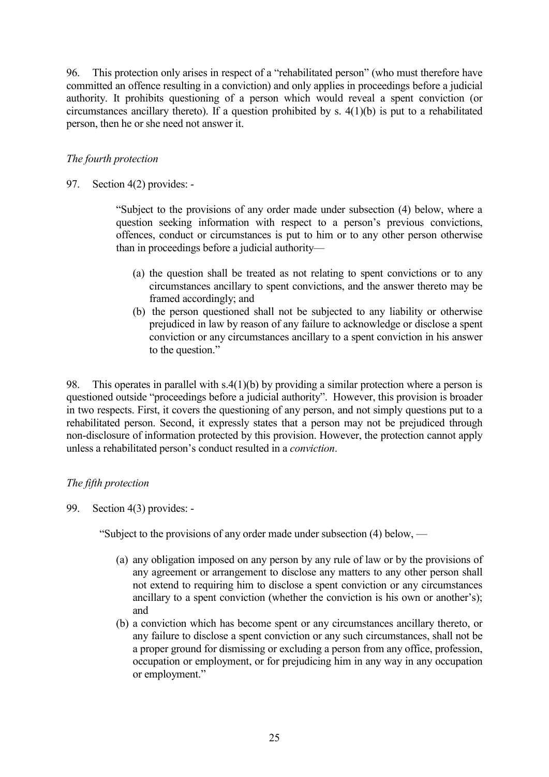96. This protection only arises in respect of a "rehabilitated person" (who must therefore have committed an offence resulting in a conviction) and only applies in proceedings before a judicial authority. It prohibits questioning of a person which would reveal a spent conviction (or circumstances ancillary thereto). If a question prohibited by s. 4(1)(b) is put to a rehabilitated person, then he or she need not answer it.

# *The fourth protection*

97. Section 4(2) provides: -

"Subject to the provisions of any order made under subsection (4) below, where a question seeking information with respect to a person's previous convictions, offences, conduct or circumstances is put to him or to any other person otherwise than in proceedings before a judicial authority—

- (a) the question shall be treated as not relating to spent convictions or to any circumstances ancillary to spent convictions, and the answer thereto may be framed accordingly; and
- (b) the person questioned shall not be subjected to any liability or otherwise prejudiced in law by reason of any failure to acknowledge or disclose a spent conviction or any circumstances ancillary to a spent conviction in his answer to the question."

98. This operates in parallel with s.4(1)(b) by providing a similar protection where a person is questioned outside "proceedings before a judicial authority". However, this provision is broader in two respects. First, it covers the questioning of any person, and not simply questions put to a rehabilitated person. Second, it expressly states that a person may not be prejudiced through non-disclosure of information protected by this provision. However, the protection cannot apply unless a rehabilitated person's conduct resulted in a *conviction*.

# *The fifth protection*

99. Section 4(3) provides: -

"Subject to the provisions of any order made under subsection (4) below, —

- (a) any obligation imposed on any person by any rule of law or by the provisions of any agreement or arrangement to disclose any matters to any other person shall not extend to requiring him to disclose a spent conviction or any circumstances ancillary to a spent conviction (whether the conviction is his own or another's); and
- (b) a conviction which has become spent or any circumstances ancillary thereto, or any failure to disclose a spent conviction or any such circumstances, shall not be a proper ground for dismissing or excluding a person from any office, profession, occupation or employment, or for prejudicing him in any way in any occupation or employment."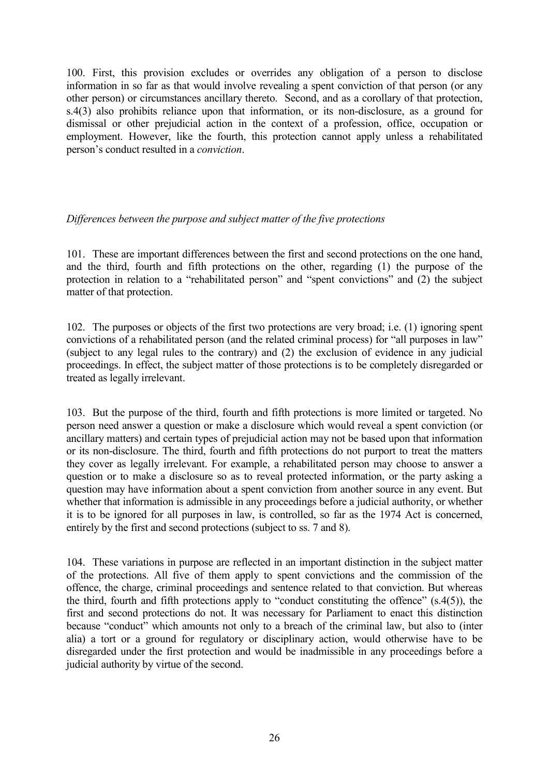100. First, this provision excludes or overrides any obligation of a person to disclose information in so far as that would involve revealing a spent conviction of that person (or any other person) or circumstances ancillary thereto. Second, and as a corollary of that protection, s.4(3) also prohibits reliance upon that information, or its non-disclosure, as a ground for dismissal or other prejudicial action in the context of a profession, office, occupation or employment. However, like the fourth, this protection cannot apply unless a rehabilitated person's conduct resulted in a *conviction*.

## *Differences between the purpose and subject matter of the five protections*

101. These are important differences between the first and second protections on the one hand, and the third, fourth and fifth protections on the other, regarding (1) the purpose of the protection in relation to a "rehabilitated person" and "spent convictions" and (2) the subject matter of that protection.

102. The purposes or objects of the first two protections are very broad; i.e. (1) ignoring spent convictions of a rehabilitated person (and the related criminal process) for "all purposes in law" (subject to any legal rules to the contrary) and (2) the exclusion of evidence in any judicial proceedings. In effect, the subject matter of those protections is to be completely disregarded or treated as legally irrelevant.

103. But the purpose of the third, fourth and fifth protections is more limited or targeted. No person need answer a question or make a disclosure which would reveal a spent conviction (or ancillary matters) and certain types of prejudicial action may not be based upon that information or its non-disclosure. The third, fourth and fifth protections do not purport to treat the matters they cover as legally irrelevant. For example, a rehabilitated person may choose to answer a question or to make a disclosure so as to reveal protected information, or the party asking a question may have information about a spent conviction from another source in any event. But whether that information is admissible in any proceedings before a judicial authority, or whether it is to be ignored for all purposes in law, is controlled, so far as the 1974 Act is concerned, entirely by the first and second protections (subject to ss. 7 and 8).

104. These variations in purpose are reflected in an important distinction in the subject matter of the protections. All five of them apply to spent convictions and the commission of the offence, the charge, criminal proceedings and sentence related to that conviction. But whereas the third, fourth and fifth protections apply to "conduct constituting the offence"  $(s.4(5))$ , the first and second protections do not. It was necessary for Parliament to enact this distinction because "conduct" which amounts not only to a breach of the criminal law, but also to (inter alia) a tort or a ground for regulatory or disciplinary action, would otherwise have to be disregarded under the first protection and would be inadmissible in any proceedings before a judicial authority by virtue of the second.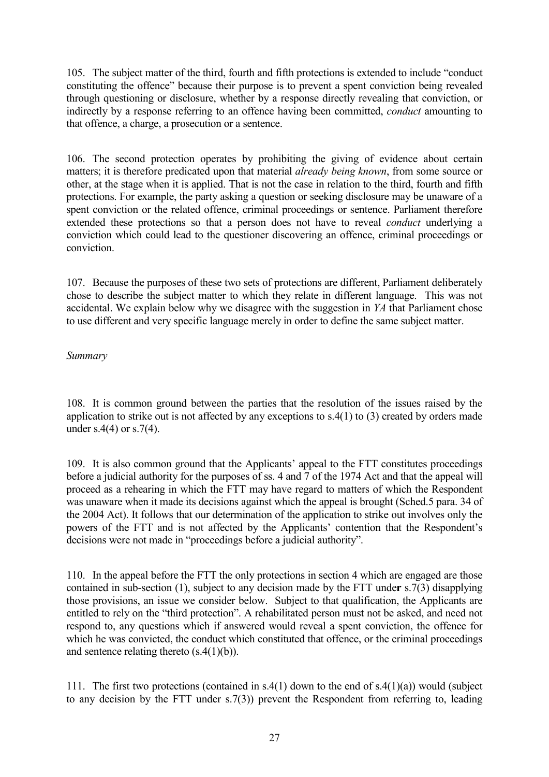105. The subject matter of the third, fourth and fifth protections is extended to include "conduct constituting the offence" because their purpose is to prevent a spent conviction being revealed through questioning or disclosure, whether by a response directly revealing that conviction, or indirectly by a response referring to an offence having been committed, *conduct* amounting to that offence, a charge, a prosecution or a sentence.

106. The second protection operates by prohibiting the giving of evidence about certain matters; it is therefore predicated upon that material *already being known*, from some source or other, at the stage when it is applied. That is not the case in relation to the third, fourth and fifth protections. For example, the party asking a question or seeking disclosure may be unaware of a spent conviction or the related offence, criminal proceedings or sentence. Parliament therefore extended these protections so that a person does not have to reveal *conduct* underlying a conviction which could lead to the questioner discovering an offence, criminal proceedings or conviction.

107. Because the purposes of these two sets of protections are different, Parliament deliberately chose to describe the subject matter to which they relate in different language. This was not accidental. We explain below why we disagree with the suggestion in *YA* that Parliament chose to use different and very specific language merely in order to define the same subject matter.

# *Summary*

108. It is common ground between the parties that the resolution of the issues raised by the application to strike out is not affected by any exceptions to s.4(1) to (3) created by orders made under s.4(4) or s.7(4).

109. It is also common ground that the Applicants' appeal to the FTT constitutes proceedings before a judicial authority for the purposes of ss. 4 and 7 of the 1974 Act and that the appeal will proceed as a rehearing in which the FTT may have regard to matters of which the Respondent was unaware when it made its decisions against which the appeal is brought (Sched.5 para. 34 of the 2004 Act). It follows that our determination of the application to strike out involves only the powers of the FTT and is not affected by the Applicants' contention that the Respondent's decisions were not made in "proceedings before a judicial authority".

110. In the appeal before the FTT the only protections in section 4 which are engaged are those contained in sub-section (1), subject to any decision made by the FTT unde**r** s.7(3) disapplying those provisions, an issue we consider below. Subject to that qualification, the Applicants are entitled to rely on the "third protection". A rehabilitated person must not be asked, and need not respond to, any questions which if answered would reveal a spent conviction, the offence for which he was convicted, the conduct which constituted that offence, or the criminal proceedings and sentence relating thereto (s.4(1)(b)).

111. The first two protections (contained in s.4(1) down to the end of s.4(1)(a)) would (subject to any decision by the FTT under s.7(3)) prevent the Respondent from referring to, leading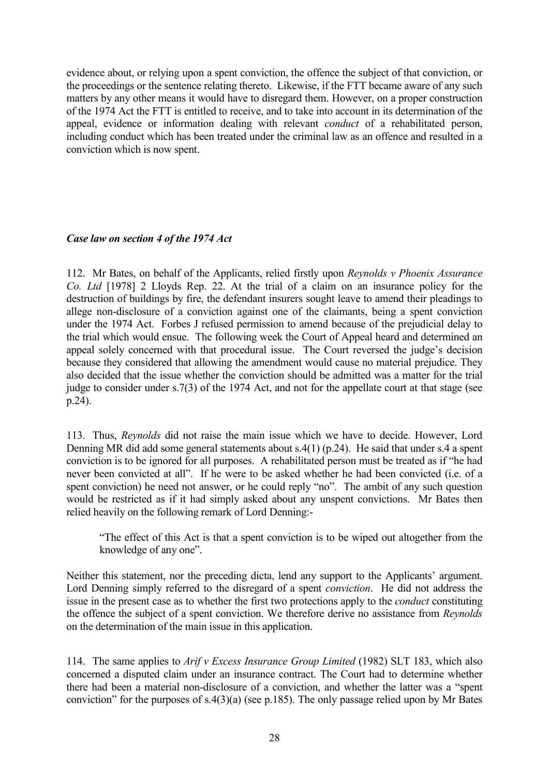evidence about, or relying upon a spent conviction, the offence the subject of that conviction, or the proceedings or the sentence relating thereto. Likewise, if the FTT became aware of any such matters by any other means it would have to disregard them. However, on a proper construction of the 1974 Act the FTT is entitled to receive, and to take into account in its determination of the appeal, evidence or information dealing with relevant *conduct* of a rehabilitated person, including conduct which has been treated under the criminal law as an offence and resulted in a conviction which is now spent.

### *Case law on section 4 of the 1974 Act*

112. Mr Bates, on behalf of the Applicants, relied firstly upon *Reynolds v Phoenix Assurance Co. Ltd* [1978] 2 Lloyds Rep. 22. At the trial of a claim on an insurance policy for the destruction of buildings by fire, the defendant insurers sought leave to amend their pleadings to allege non-disclosure of a conviction against one of the claimants, being a spent conviction under the 1974 Act. Forbes J refused permission to amend because of the prejudicial delay to the trial which would ensue. The following week the Court of Appeal heard and determined an appeal solely concerned with that procedural issue. The Court reversed the judge's decision because they considered that allowing the amendment would cause no material prejudice. They also decided that the issue whether the conviction should be admitted was a matter for the trial judge to consider under s.7(3) of the 1974 Act, and not for the appellate court at that stage (see p.24).

113. Thus, *Reynolds* did not raise the main issue which we have to decide. However, Lord Denning MR did add some general statements about s.4(1) (p.24). He said that under s.4 a spent conviction is to be ignored for all purposes. A rehabilitated person must be treated as if "he had never been convicted at all". If he were to be asked whether he had been convicted (i.e. of a spent conviction) he need not answer, or he could reply "no". The ambit of any such question would be restricted as if it had simply asked about any unspent convictions. Mr Bates then relied heavily on the following remark of Lord Denning:-

"The effect of this Act is that a spent conviction is to be wiped out altogether from the knowledge of any one".

Neither this statement, nor the preceding dicta, lend any support to the Applicants' argument. Lord Denning simply referred to the disregard of a spent *conviction*. He did not address the issue in the present case as to whether the first two protections apply to the *conduct* constituting the offence the subject of a spent conviction. We therefore derive no assistance from *Reynolds* on the determination of the main issue in this application.

114. The same applies to *Arif v Excess Insurance Group Limited* (1982) SLT 183, which also concerned a disputed claim under an insurance contract. The Court had to determine whether there had been a material non-disclosure of a conviction, and whether the latter was a "spent conviction" for the purposes of s.4(3)(a) (see p.185). The only passage relied upon by Mr Bates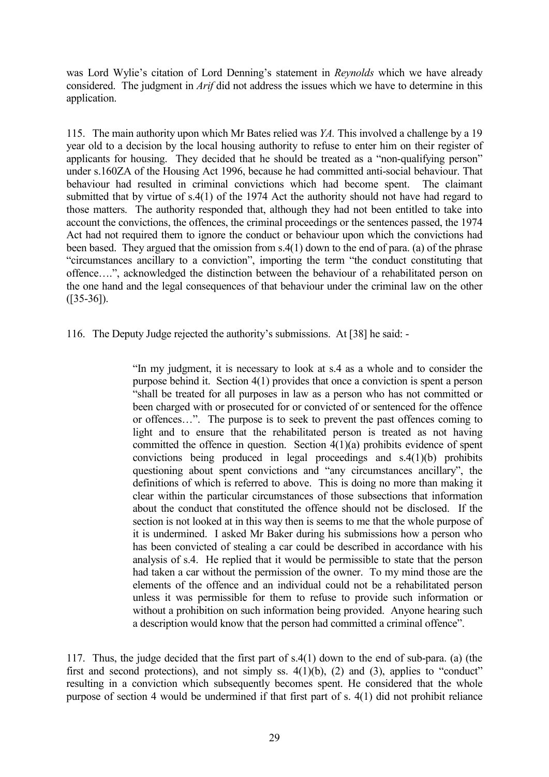was Lord Wylie's citation of Lord Denning's statement in *Reynolds* which we have already considered. The judgment in *Arif* did not address the issues which we have to determine in this application.

115. The main authority upon which Mr Bates relied was *YA.* This involved a challenge by a 19 year old to a decision by the local housing authority to refuse to enter him on their register of applicants for housing. They decided that he should be treated as a "non-qualifying person" under s.160ZA of the Housing Act 1996, because he had committed anti-social behaviour. That behaviour had resulted in criminal convictions which had become spent. The claimant submitted that by virtue of s.4(1) of the 1974 Act the authority should not have had regard to those matters. The authority responded that, although they had not been entitled to take into account the convictions, the offences, the criminal proceedings or the sentences passed, the 1974 Act had not required them to ignore the conduct or behaviour upon which the convictions had been based. They argued that the omission from s.4(1) down to the end of para. (a) of the phrase "circumstances ancillary to a conviction", importing the term "the conduct constituting that offence….", acknowledged the distinction between the behaviour of a rehabilitated person on the one hand and the legal consequences of that behaviour under the criminal law on the other  $([35-36]).$ 

116. The Deputy Judge rejected the authority's submissions. At [38] he said: -

"In my judgment, it is necessary to look at s.4 as a whole and to consider the purpose behind it. Section 4(1) provides that once a conviction is spent a person "shall be treated for all purposes in law as a person who has not committed or been charged with or prosecuted for or convicted of or sentenced for the offence or offences…". The purpose is to seek to prevent the past offences coming to light and to ensure that the rehabilitated person is treated as not having committed the offence in question. Section 4(1)(a) prohibits evidence of spent convictions being produced in legal proceedings and s.4(1)(b) prohibits questioning about spent convictions and "any circumstances ancillary", the definitions of which is referred to above. This is doing no more than making it clear within the particular circumstances of those subsections that information about the conduct that constituted the offence should not be disclosed. If the section is not looked at in this way then is seems to me that the whole purpose of it is undermined. I asked Mr Baker during his submissions how a person who has been convicted of stealing a car could be described in accordance with his analysis of s.4. He replied that it would be permissible to state that the person had taken a car without the permission of the owner. To my mind those are the elements of the offence and an individual could not be a rehabilitated person unless it was permissible for them to refuse to provide such information or without a prohibition on such information being provided. Anyone hearing such a description would know that the person had committed a criminal offence".

117. Thus, the judge decided that the first part of s.4(1) down to the end of sub-para. (a) (the first and second protections), and not simply ss.  $4(1)(b)$ ,  $(2)$  and  $(3)$ , applies to "conduct" resulting in a conviction which subsequently becomes spent. He considered that the whole purpose of section 4 would be undermined if that first part of s. 4(1) did not prohibit reliance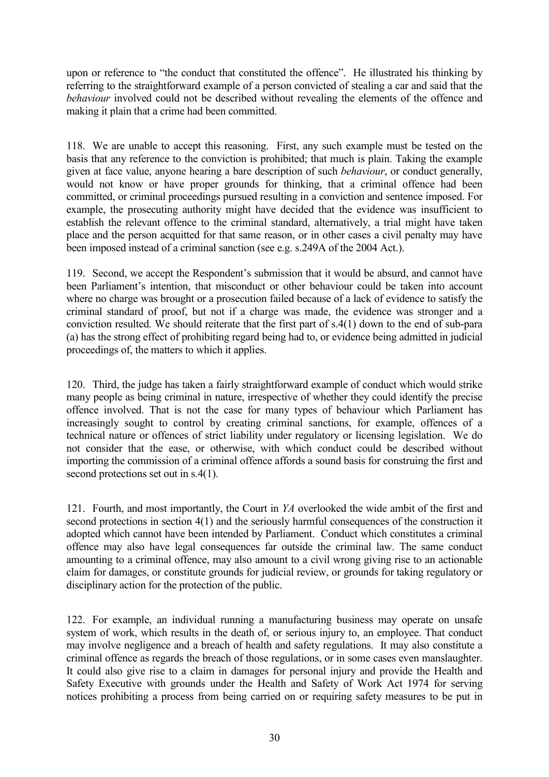upon or reference to "the conduct that constituted the offence". He illustrated his thinking by referring to the straightforward example of a person convicted of stealing a car and said that the *behaviour* involved could not be described without revealing the elements of the offence and making it plain that a crime had been committed.

118. We are unable to accept this reasoning. First, any such example must be tested on the basis that any reference to the conviction is prohibited; that much is plain. Taking the example given at face value, anyone hearing a bare description of such *behaviour*, or conduct generally, would not know or have proper grounds for thinking, that a criminal offence had been committed, or criminal proceedings pursued resulting in a conviction and sentence imposed. For example, the prosecuting authority might have decided that the evidence was insufficient to establish the relevant offence to the criminal standard, alternatively, a trial might have taken place and the person acquitted for that same reason, or in other cases a civil penalty may have been imposed instead of a criminal sanction (see e.g. s.249A of the 2004 Act.).

119. Second, we accept the Respondent's submission that it would be absurd, and cannot have been Parliament's intention, that misconduct or other behaviour could be taken into account where no charge was brought or a prosecution failed because of a lack of evidence to satisfy the criminal standard of proof, but not if a charge was made, the evidence was stronger and a conviction resulted. We should reiterate that the first part of s.4(1) down to the end of sub-para (a) has the strong effect of prohibiting regard being had to, or evidence being admitted in judicial proceedings of, the matters to which it applies.

120. Third, the judge has taken a fairly straightforward example of conduct which would strike many people as being criminal in nature, irrespective of whether they could identify the precise offence involved. That is not the case for many types of behaviour which Parliament has increasingly sought to control by creating criminal sanctions, for example, offences of a technical nature or offences of strict liability under regulatory or licensing legislation. We do not consider that the ease, or otherwise, with which conduct could be described without importing the commission of a criminal offence affords a sound basis for construing the first and second protections set out in s.4(1).

121. Fourth, and most importantly, the Court in *YA* overlooked the wide ambit of the first and second protections in section 4(1) and the seriously harmful consequences of the construction it adopted which cannot have been intended by Parliament. Conduct which constitutes a criminal offence may also have legal consequences far outside the criminal law. The same conduct amounting to a criminal offence, may also amount to a civil wrong giving rise to an actionable claim for damages, or constitute grounds for judicial review, or grounds for taking regulatory or disciplinary action for the protection of the public.

122. For example, an individual running a manufacturing business may operate on unsafe system of work, which results in the death of, or serious injury to, an employee. That conduct may involve negligence and a breach of health and safety regulations. It may also constitute a criminal offence as regards the breach of those regulations, or in some cases even manslaughter. It could also give rise to a claim in damages for personal injury and provide the Health and Safety Executive with grounds under the Health and Safety of Work Act 1974 for serving notices prohibiting a process from being carried on or requiring safety measures to be put in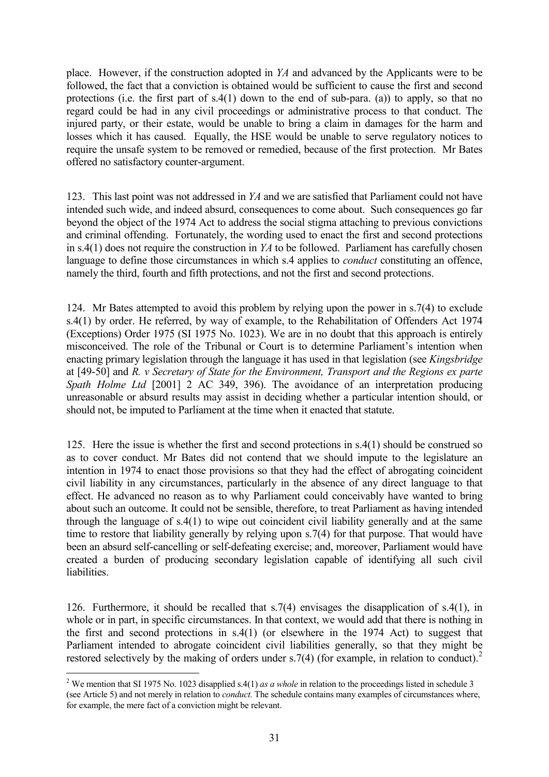place. However, if the construction adopted in *YA* and advanced by the Applicants were to be followed, the fact that a conviction is obtained would be sufficient to cause the first and second protections (i.e. the first part of s.4(1) down to the end of sub-para. (a)) to apply, so that no regard could be had in any civil proceedings or administrative process to that conduct. The injured party, or their estate, would be unable to bring a claim in damages for the harm and losses which it has caused. Equally, the HSE would be unable to serve regulatory notices to require the unsafe system to be removed or remedied, because of the first protection. Mr Bates offered no satisfactory counter-argument.

123. This last point was not addressed in *YA* and we are satisfied that Parliament could not have intended such wide, and indeed absurd, consequences to come about. Such consequences go far beyond the object of the 1974 Act to address the social stigma attaching to previous convictions and criminal offending. Fortunately, the wording used to enact the first and second protections in s.4(1) does not require the construction in *YA* to be followed. Parliament has carefully chosen language to define those circumstances in which s.4 applies to *conduct* constituting an offence, namely the third, fourth and fifth protections, and not the first and second protections.

124. Mr Bates attempted to avoid this problem by relying upon the power in s.7(4) to exclude s.4(1) by order. He referred, by way of example, to the Rehabilitation of Offenders Act 1974 (Exceptions) Order 1975 (SI 1975 No. 1023). We are in no doubt that this approach is entirely misconceived. The role of the Tribunal or Court is to determine Parliament's intention when enacting primary legislation through the language it has used in that legislation (see *Kingsbridge*  at [49-50] and *R. v Secretary of State for the Environment, Transport and the Regions ex parte Spath Holme Ltd* [2001] 2 AC 349, 396). The avoidance of an interpretation producing unreasonable or absurd results may assist in deciding whether a particular intention should, or should not, be imputed to Parliament at the time when it enacted that statute.

125. Here the issue is whether the first and second protections in s.4(1) should be construed so as to cover conduct. Mr Bates did not contend that we should impute to the legislature an intention in 1974 to enact those provisions so that they had the effect of abrogating coincident civil liability in any circumstances, particularly in the absence of any direct language to that effect. He advanced no reason as to why Parliament could conceivably have wanted to bring about such an outcome. It could not be sensible, therefore, to treat Parliament as having intended through the language of s.4(1) to wipe out coincident civil liability generally and at the same time to restore that liability generally by relying upon s.7(4) for that purpose. That would have been an absurd self-cancelling or self-defeating exercise; and, moreover, Parliament would have created a burden of producing secondary legislation capable of identifying all such civil liabilities.

126. Furthermore, it should be recalled that s.7(4) envisages the disapplication of s.4(1), in whole or in part, in specific circumstances. In that context, we would add that there is nothing in the first and second protections in s.4(1) (or elsewhere in the 1974 Act) to suggest that Parliament intended to abrogate coincident civil liabilities generally, so that they might be restored selectively by the making of orders under s.7(4) (for example, in relation to conduct).<sup>[2](#page-30-0)</sup>

<span id="page-30-0"></span> <sup>2</sup> We mention that SI 1975 No. 1023 disapplied s.4(1) *as a whole* in relation to the proceedings listed in schedule 3 (see Article 5) and not merely in relation to *conduct.* The schedule contains many examples of circumstances where, for example, the mere fact of a conviction might be relevant.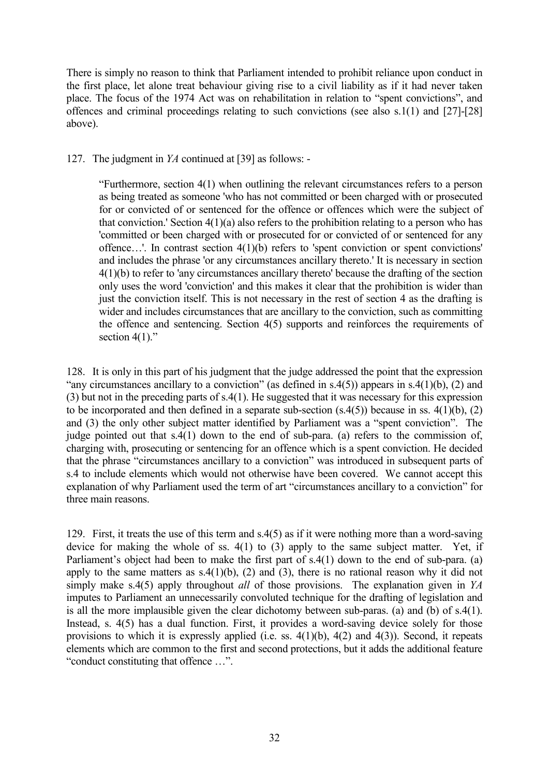There is simply no reason to think that Parliament intended to prohibit reliance upon conduct in the first place, let alone treat behaviour giving rise to a civil liability as if it had never taken place. The focus of the 1974 Act was on rehabilitation in relation to "spent convictions", and offences and criminal proceedings relating to such convictions (see also s.1(1) and [27]-[28] above).

127. The judgment in *YA* continued at [39] as follows: -

"Furthermore, section 4(1) when outlining the relevant circumstances refers to a person as being treated as someone 'who has not committed or been charged with or prosecuted for or convicted of or sentenced for the offence or offences which were the subject of that conviction.' Section  $4(1)(a)$  also refers to the prohibition relating to a person who has 'committed or been charged with or prosecuted for or convicted of or sentenced for any offence…'. In contrast section 4(1)(b) refers to 'spent conviction or spent convictions' and includes the phrase 'or any circumstances ancillary thereto.' It is necessary in section 4(1)(b) to refer to 'any circumstances ancillary thereto' because the drafting of the section only uses the word 'conviction' and this makes it clear that the prohibition is wider than just the conviction itself. This is not necessary in the rest of section 4 as the drafting is wider and includes circumstances that are ancillary to the conviction, such as committing the offence and sentencing. Section 4(5) supports and reinforces the requirements of section  $4(1)$ ."

128. It is only in this part of his judgment that the judge addressed the point that the expression "any circumstances ancillary to a conviction" (as defined in  $s.4(5)$ ) appears in  $s.4(1)(b)$ , (2) and (3) but not in the preceding parts of s.4(1). He suggested that it was necessary for this expression to be incorporated and then defined in a separate sub-section  $(s.4(5))$  because in ss.  $4(1)(b)$ , (2) and (3) the only other subject matter identified by Parliament was a "spent conviction". The judge pointed out that s.4(1) down to the end of sub-para. (a) refers to the commission of, charging with, prosecuting or sentencing for an offence which is a spent conviction. He decided that the phrase "circumstances ancillary to a conviction" was introduced in subsequent parts of s.4 to include elements which would not otherwise have been covered. We cannot accept this explanation of why Parliament used the term of art "circumstances ancillary to a conviction" for three main reasons.

129. First, it treats the use of this term and s.4(5) as if it were nothing more than a word-saving device for making the whole of ss. 4(1) to (3) apply to the same subject matter. Yet, if Parliament's object had been to make the first part of s.4(1) down to the end of sub-para. (a) apply to the same matters as  $s.4(1)(b)$ , (2) and (3), there is no rational reason why it did not simply make s.4(5) apply throughout *all* of those provisions. The explanation given in *YA*  imputes to Parliament an unnecessarily convoluted technique for the drafting of legislation and is all the more implausible given the clear dichotomy between sub-paras. (a) and (b) of s.4(1). Instead, s. 4(5) has a dual function. First, it provides a word-saving device solely for those provisions to which it is expressly applied (i.e. ss. 4(1)(b), 4(2) and 4(3)). Second, it repeats elements which are common to the first and second protections, but it adds the additional feature "conduct constituting that offence …".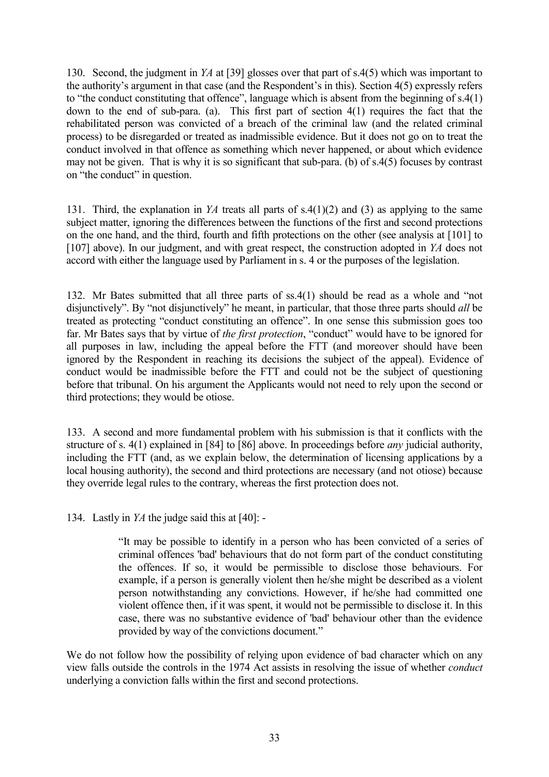130. Second, the judgment in *YA* at [39] glosses over that part of s.4(5) which was important to the authority's argument in that case (and the Respondent's in this). Section 4(5) expressly refers to "the conduct constituting that offence", language which is absent from the beginning of s.4(1) down to the end of sub-para. (a). This first part of section 4(1) requires the fact that the rehabilitated person was convicted of a breach of the criminal law (and the related criminal process) to be disregarded or treated as inadmissible evidence. But it does not go on to treat the conduct involved in that offence as something which never happened, or about which evidence may not be given. That is why it is so significant that sub-para. (b) of s.4(5) focuses by contrast on "the conduct" in question.

131. Third, the explanation in *YA* treats all parts of s.4(1)(2) and (3) as applying to the same subject matter, ignoring the differences between the functions of the first and second protections on the one hand, and the third, fourth and fifth protections on the other (see analysis at [101] to [107] above). In our judgment, and with great respect, the construction adopted in *YA* does not accord with either the language used by Parliament in s. 4 or the purposes of the legislation.

132. Mr Bates submitted that all three parts of ss.4(1) should be read as a whole and "not disjunctively". By "not disjunctively" he meant, in particular, that those three parts should *all* be treated as protecting "conduct constituting an offence". In one sense this submission goes too far. Mr Bates says that by virtue of *the first protection*, "conduct" would have to be ignored for all purposes in law, including the appeal before the FTT (and moreover should have been ignored by the Respondent in reaching its decisions the subject of the appeal). Evidence of conduct would be inadmissible before the FTT and could not be the subject of questioning before that tribunal. On his argument the Applicants would not need to rely upon the second or third protections; they would be otiose.

133. A second and more fundamental problem with his submission is that it conflicts with the structure of s. 4(1) explained in [84] to [86] above. In proceedings before *any* judicial authority, including the FTT (and, as we explain below, the determination of licensing applications by a local housing authority), the second and third protections are necessary (and not otiose) because they override legal rules to the contrary, whereas the first protection does not.

134. Lastly in *YA* the judge said this at [40]: -

"It may be possible to identify in a person who has been convicted of a series of criminal offences 'bad' behaviours that do not form part of the conduct constituting the offences. If so, it would be permissible to disclose those behaviours. For example, if a person is generally violent then he/she might be described as a violent person notwithstanding any convictions. However, if he/she had committed one violent offence then, if it was spent, it would not be permissible to disclose it. In this case, there was no substantive evidence of 'bad' behaviour other than the evidence provided by way of the convictions document."

We do not follow how the possibility of relying upon evidence of bad character which on any view falls outside the controls in the 1974 Act assists in resolving the issue of whether *conduct* underlying a conviction falls within the first and second protections.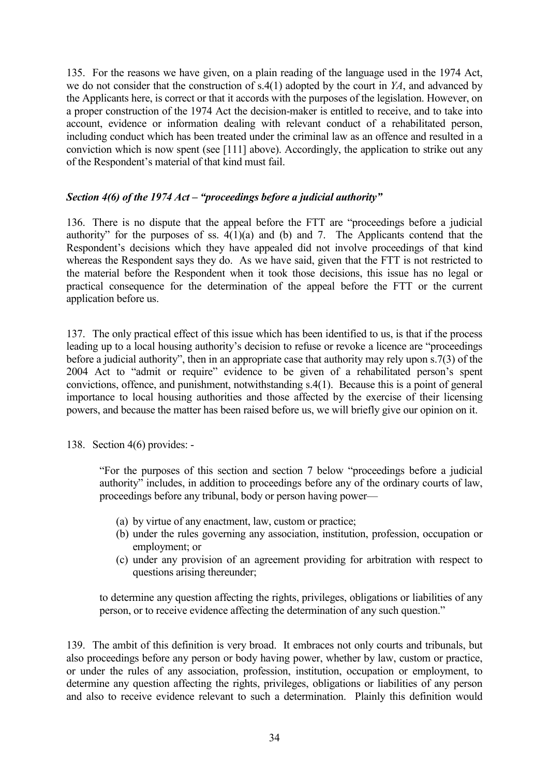135. For the reasons we have given, on a plain reading of the language used in the 1974 Act, we do not consider that the construction of s.4(1) adopted by the court in *YA*, and advanced by the Applicants here, is correct or that it accords with the purposes of the legislation. However, on a proper construction of the 1974 Act the decision-maker is entitled to receive, and to take into account, evidence or information dealing with relevant conduct of a rehabilitated person, including conduct which has been treated under the criminal law as an offence and resulted in a conviction which is now spent (see [111] above). Accordingly, the application to strike out any of the Respondent's material of that kind must fail.

## *Section 4(6) of the 1974 Act – "proceedings before a judicial authority"*

136. There is no dispute that the appeal before the FTT are "proceedings before a judicial authority" for the purposes of ss.  $4(1)(a)$  and (b) and 7. The Applicants contend that the Respondent's decisions which they have appealed did not involve proceedings of that kind whereas the Respondent says they do. As we have said, given that the FTT is not restricted to the material before the Respondent when it took those decisions, this issue has no legal or practical consequence for the determination of the appeal before the FTT or the current application before us.

137. The only practical effect of this issue which has been identified to us, is that if the process leading up to a local housing authority's decision to refuse or revoke a licence are "proceedings before a judicial authority", then in an appropriate case that authority may rely upon s.7(3) of the 2004 Act to "admit or require" evidence to be given of a rehabilitated person's spent convictions, offence, and punishment, notwithstanding s.4(1). Because this is a point of general importance to local housing authorities and those affected by the exercise of their licensing powers, and because the matter has been raised before us, we will briefly give our opinion on it.

138. Section 4(6) provides: -

"For the purposes of this section and section 7 below "proceedings before a judicial authority" includes, in addition to proceedings before any of the ordinary courts of law, proceedings before any tribunal, body or person having power—

- (a) by virtue of any enactment, law, custom or practice;
- (b) under the rules governing any association, institution, profession, occupation or employment; or
- (c) under any provision of an agreement providing for arbitration with respect to questions arising thereunder;

to determine any question affecting the rights, privileges, obligations or liabilities of any person, or to receive evidence affecting the determination of any such question."

139. The ambit of this definition is very broad. It embraces not only courts and tribunals, but also proceedings before any person or body having power, whether by law, custom or practice, or under the rules of any association, profession, institution, occupation or employment, to determine any question affecting the rights, privileges, obligations or liabilities of any person and also to receive evidence relevant to such a determination. Plainly this definition would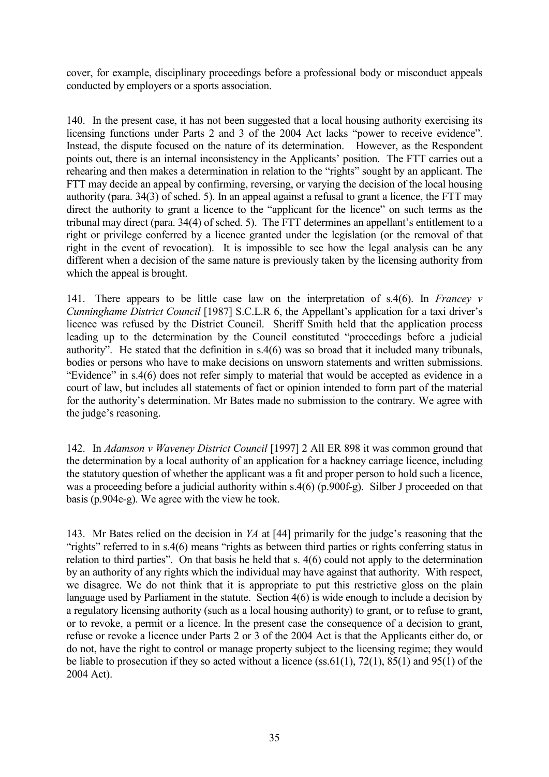cover, for example, disciplinary proceedings before a professional body or misconduct appeals conducted by employers or a sports association.

140. In the present case, it has not been suggested that a local housing authority exercising its licensing functions under Parts 2 and 3 of the 2004 Act lacks "power to receive evidence". Instead, the dispute focused on the nature of its determination. However, as the Respondent points out, there is an internal inconsistency in the Applicants' position. The FTT carries out a rehearing and then makes a determination in relation to the "rights" sought by an applicant. The FTT may decide an appeal by confirming, reversing, or varying the decision of the local housing authority (para. 34(3) of sched. 5). In an appeal against a refusal to grant a licence, the FTT may direct the authority to grant a licence to the "applicant for the licence" on such terms as the tribunal may direct (para. 34(4) of sched. 5). The FTT determines an appellant's entitlement to a right or privilege conferred by a licence granted under the legislation (or the removal of that right in the event of revocation). It is impossible to see how the legal analysis can be any different when a decision of the same nature is previously taken by the licensing authority from which the appeal is brought.

141. There appears to be little case law on the interpretation of s.4(6). In *Francey v Cunninghame District Council* [1987] S.C.L.R 6, the Appellant's application for a taxi driver's licence was refused by the District Council. Sheriff Smith held that the application process leading up to the determination by the Council constituted "proceedings before a judicial authority". He stated that the definition in s.4(6) was so broad that it included many tribunals, bodies or persons who have to make decisions on unsworn statements and written submissions. "Evidence" in s.4(6) does not refer simply to material that would be accepted as evidence in a court of law, but includes all statements of fact or opinion intended to form part of the material for the authority's determination. Mr Bates made no submission to the contrary. We agree with the judge's reasoning.

142. In *Adamson v Waveney District Council* [1997] 2 All ER 898 it was common ground that the determination by a local authority of an application for a hackney carriage licence, including the statutory question of whether the applicant was a fit and proper person to hold such a licence, was a proceeding before a judicial authority within s.4(6) (p.900f-g). Silber J proceeded on that basis (p.904e-g). We agree with the view he took.

143. Mr Bates relied on the decision in *YA* at [44] primarily for the judge's reasoning that the "rights" referred to in s.4(6) means "rights as between third parties or rights conferring status in relation to third parties". On that basis he held that s. 4(6) could not apply to the determination by an authority of any rights which the individual may have against that authority. With respect, we disagree. We do not think that it is appropriate to put this restrictive gloss on the plain language used by Parliament in the statute. Section 4(6) is wide enough to include a decision by a regulatory licensing authority (such as a local housing authority) to grant, or to refuse to grant, or to revoke, a permit or a licence. In the present case the consequence of a decision to grant, refuse or revoke a licence under Parts 2 or 3 of the 2004 Act is that the Applicants either do, or do not, have the right to control or manage property subject to the licensing regime; they would be liable to prosecution if they so acted without a licence (ss.61(1), 72(1), 85(1) and 95(1) of the 2004 Act).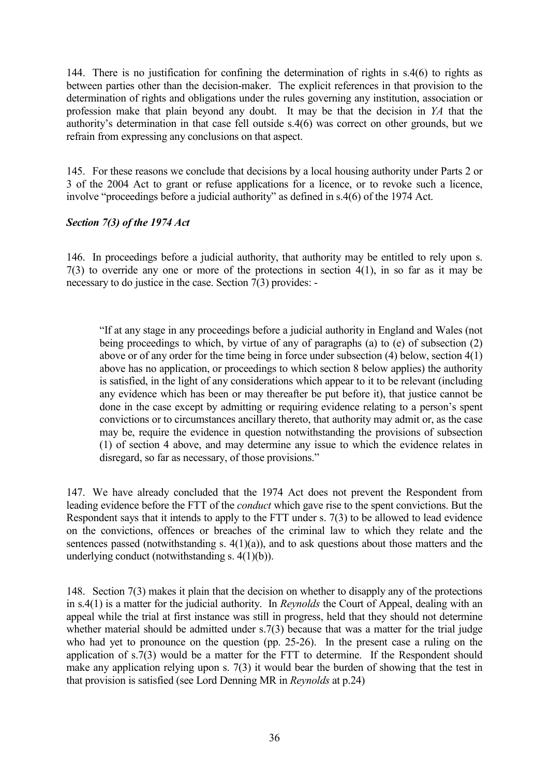144. There is no justification for confining the determination of rights in s.4(6) to rights as between parties other than the decision-maker. The explicit references in that provision to the determination of rights and obligations under the rules governing any institution, association or profession make that plain beyond any doubt. It may be that the decision in *YA* that the authority's determination in that case fell outside s.4(6) was correct on other grounds, but we refrain from expressing any conclusions on that aspect.

145. For these reasons we conclude that decisions by a local housing authority under Parts 2 or 3 of the 2004 Act to grant or refuse applications for a licence, or to revoke such a licence, involve "proceedings before a judicial authority" as defined in s.4(6) of the 1974 Act.

### *Section 7(3) of the 1974 Act*

146. In proceedings before a judicial authority, that authority may be entitled to rely upon s. 7(3) to override any one or more of the protections in section 4(1), in so far as it may be necessary to do justice in the case. Section 7(3) provides: -

"If at any stage in any proceedings before a judicial authority in England and Wales (not being proceedings to which, by virtue of any of paragraphs (a) to (e) of subsection (2) above or of any order for the time being in force under subsection (4) below, section 4(1) above has no application, or proceedings to which section 8 below applies) the authority is satisfied, in the light of any considerations which appear to it to be relevant (including any evidence which has been or may thereafter be put before it), that justice cannot be done in the case except by admitting or requiring evidence relating to a person's spent convictions or to circumstances ancillary thereto, that authority may admit or, as the case may be, require the evidence in question notwithstanding the provisions of subsection (1) of section 4 above, and may determine any issue to which the evidence relates in disregard, so far as necessary, of those provisions."

147. We have already concluded that the 1974 Act does not prevent the Respondent from leading evidence before the FTT of the *conduct* which gave rise to the spent convictions. But the Respondent says that it intends to apply to the FTT under s. 7(3) to be allowed to lead evidence on the convictions, offences or breaches of the criminal law to which they relate and the sentences passed (notwithstanding s.  $4(1)(a)$ ), and to ask questions about those matters and the underlying conduct (notwithstanding s. 4(1)(b)).

148. Section 7(3) makes it plain that the decision on whether to disapply any of the protections in s.4(1) is a matter for the judicial authority. In *Reynolds* the Court of Appeal, dealing with an appeal while the trial at first instance was still in progress, held that they should not determine whether material should be admitted under s.7(3) because that was a matter for the trial judge who had yet to pronounce on the question (pp. 25-26). In the present case a ruling on the application of s.7(3) would be a matter for the FTT to determine. If the Respondent should make any application relying upon s. 7(3) it would bear the burden of showing that the test in that provision is satisfied (see Lord Denning MR in *Reynolds* at p.24)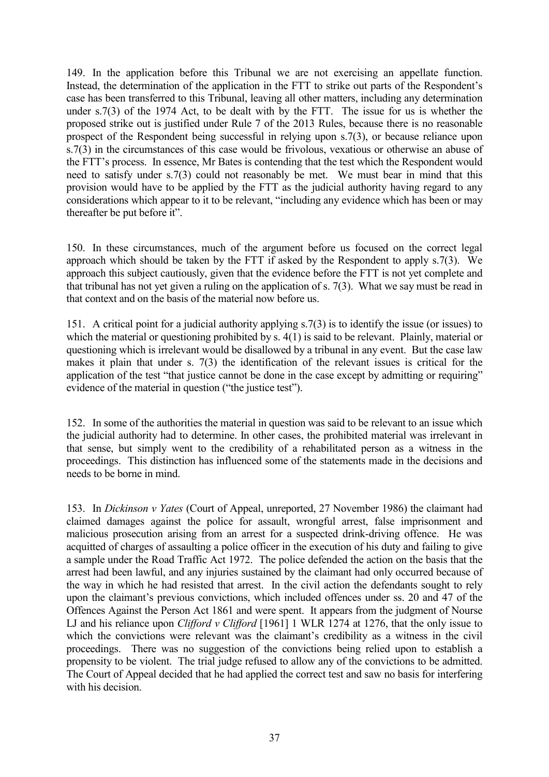149. In the application before this Tribunal we are not exercising an appellate function. Instead, the determination of the application in the FTT to strike out parts of the Respondent's case has been transferred to this Tribunal, leaving all other matters, including any determination under s.7(3) of the 1974 Act, to be dealt with by the FTT. The issue for us is whether the proposed strike out is justified under Rule 7 of the 2013 Rules, because there is no reasonable prospect of the Respondent being successful in relying upon s.7(3), or because reliance upon s.7(3) in the circumstances of this case would be frivolous, vexatious or otherwise an abuse of the FTT's process. In essence, Mr Bates is contending that the test which the Respondent would need to satisfy under s.7(3) could not reasonably be met. We must bear in mind that this provision would have to be applied by the FTT as the judicial authority having regard to any considerations which appear to it to be relevant, "including any evidence which has been or may thereafter be put before it".

150. In these circumstances, much of the argument before us focused on the correct legal approach which should be taken by the FTT if asked by the Respondent to apply s.7(3). We approach this subject cautiously, given that the evidence before the FTT is not yet complete and that tribunal has not yet given a ruling on the application of s. 7(3). What we say must be read in that context and on the basis of the material now before us.

151. A critical point for a judicial authority applying s.7(3) is to identify the issue (or issues) to which the material or questioning prohibited by s. 4(1) is said to be relevant. Plainly, material or questioning which is irrelevant would be disallowed by a tribunal in any event. But the case law makes it plain that under s. 7(3) the identification of the relevant issues is critical for the application of the test "that justice cannot be done in the case except by admitting or requiring" evidence of the material in question ("the justice test").

152. In some of the authorities the material in question was said to be relevant to an issue which the judicial authority had to determine. In other cases, the prohibited material was irrelevant in that sense, but simply went to the credibility of a rehabilitated person as a witness in the proceedings. This distinction has influenced some of the statements made in the decisions and needs to be borne in mind.

153. In *Dickinson v Yates* (Court of Appeal, unreported, 27 November 1986) the claimant had claimed damages against the police for assault, wrongful arrest, false imprisonment and malicious prosecution arising from an arrest for a suspected drink-driving offence. He was acquitted of charges of assaulting a police officer in the execution of his duty and failing to give a sample under the Road Traffic Act 1972. The police defended the action on the basis that the arrest had been lawful, and any injuries sustained by the claimant had only occurred because of the way in which he had resisted that arrest. In the civil action the defendants sought to rely upon the claimant's previous convictions, which included offences under ss. 20 and 47 of the Offences Against the Person Act 1861 and were spent. It appears from the judgment of Nourse LJ and his reliance upon *Clifford v Clifford* [1961] 1 WLR 1274 at 1276, that the only issue to which the convictions were relevant was the claimant's credibility as a witness in the civil proceedings. There was no suggestion of the convictions being relied upon to establish a propensity to be violent. The trial judge refused to allow any of the convictions to be admitted. The Court of Appeal decided that he had applied the correct test and saw no basis for interfering with his decision.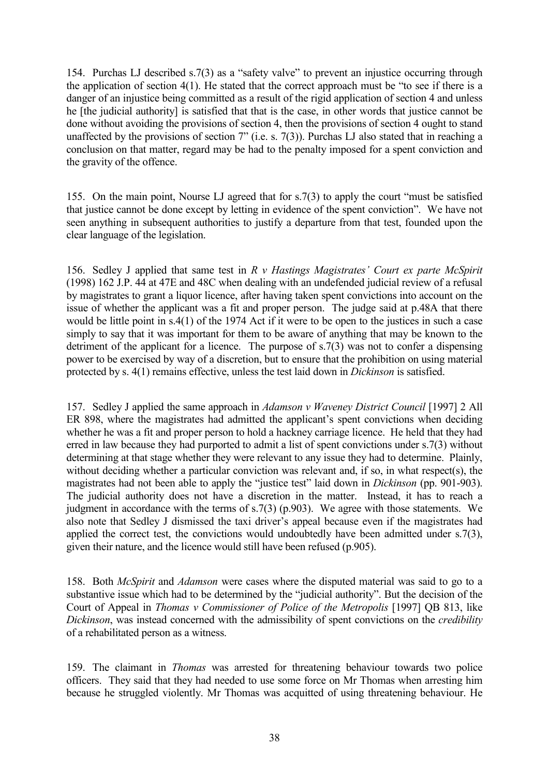154. Purchas LJ described s.7(3) as a "safety valve" to prevent an injustice occurring through the application of section 4(1). He stated that the correct approach must be "to see if there is a danger of an injustice being committed as a result of the rigid application of section 4 and unless he [the judicial authority] is satisfied that that is the case, in other words that justice cannot be done without avoiding the provisions of section 4, then the provisions of section 4 ought to stand unaffected by the provisions of section 7" (i.e. s. 7(3)). Purchas LJ also stated that in reaching a conclusion on that matter, regard may be had to the penalty imposed for a spent conviction and the gravity of the offence.

155. On the main point, Nourse LJ agreed that for s.7(3) to apply the court "must be satisfied that justice cannot be done except by letting in evidence of the spent conviction". We have not seen anything in subsequent authorities to justify a departure from that test, founded upon the clear language of the legislation.

156. Sedley J applied that same test in *R v Hastings Magistrates' Court ex parte McSpirit*  (1998) 162 J.P. 44 at 47E and 48C when dealing with an undefended judicial review of a refusal by magistrates to grant a liquor licence, after having taken spent convictions into account on the issue of whether the applicant was a fit and proper person. The judge said at p.48A that there would be little point in s.4(1) of the 1974 Act if it were to be open to the justices in such a case simply to say that it was important for them to be aware of anything that may be known to the detriment of the applicant for a licence. The purpose of s.7(3) was not to confer a dispensing power to be exercised by way of a discretion, but to ensure that the prohibition on using material protected by s. 4(1) remains effective, unless the test laid down in *Dickinson* is satisfied.

157. Sedley J applied the same approach in *Adamson v Waveney District Council* [1997] 2 All ER 898, where the magistrates had admitted the applicant's spent convictions when deciding whether he was a fit and proper person to hold a hackney carriage licence. He held that they had erred in law because they had purported to admit a list of spent convictions under s.7(3) without determining at that stage whether they were relevant to any issue they had to determine. Plainly, without deciding whether a particular conviction was relevant and, if so, in what respect(s), the magistrates had not been able to apply the "justice test" laid down in *Dickinson* (pp. 901-903). The judicial authority does not have a discretion in the matter. Instead, it has to reach a judgment in accordance with the terms of s.7(3) (p.903). We agree with those statements. We also note that Sedley J dismissed the taxi driver's appeal because even if the magistrates had applied the correct test, the convictions would undoubtedly have been admitted under s.7(3), given their nature, and the licence would still have been refused (p.905).

158. Both *McSpirit* and *Adamson* were cases where the disputed material was said to go to a substantive issue which had to be determined by the "judicial authority". But the decision of the Court of Appeal in *Thomas v Commissioner of Police of the Metropolis* [1997] QB 813, like *Dickinson*, was instead concerned with the admissibility of spent convictions on the *credibility* of a rehabilitated person as a witness.

159. The claimant in *Thomas* was arrested for threatening behaviour towards two police officers. They said that they had needed to use some force on Mr Thomas when arresting him because he struggled violently. Mr Thomas was acquitted of using threatening behaviour. He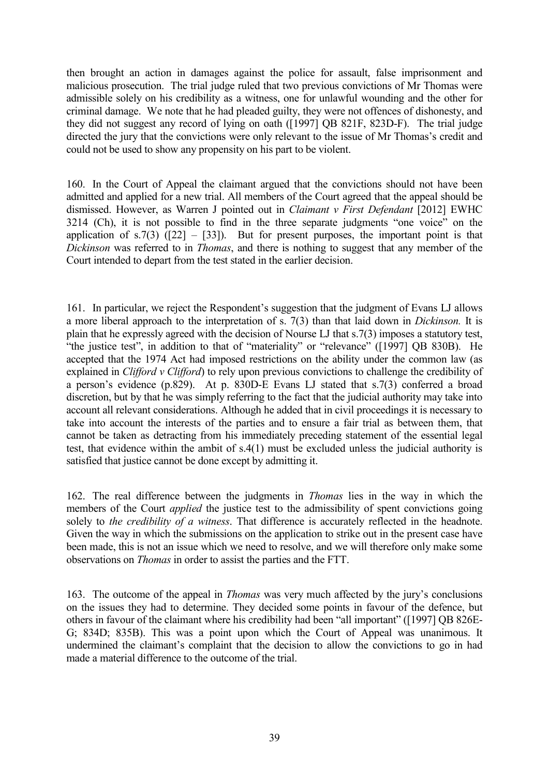then brought an action in damages against the police for assault, false imprisonment and malicious prosecution. The trial judge ruled that two previous convictions of Mr Thomas were admissible solely on his credibility as a witness, one for unlawful wounding and the other for criminal damage. We note that he had pleaded guilty, they were not offences of dishonesty, and they did not suggest any record of lying on oath ([1997] QB 821F, 823D-F). The trial judge directed the jury that the convictions were only relevant to the issue of Mr Thomas's credit and could not be used to show any propensity on his part to be violent.

160. In the Court of Appeal the claimant argued that the convictions should not have been admitted and applied for a new trial. All members of the Court agreed that the appeal should be dismissed. However, as Warren J pointed out in *Claimant v First Defendant* [2012] EWHC 3214 (Ch), it is not possible to find in the three separate judgments "one voice" on the application of s.7(3)  $(22] - [33]$ . But for present purposes, the important point is that *Dickinson* was referred to in *Thomas*, and there is nothing to suggest that any member of the Court intended to depart from the test stated in the earlier decision.

161. In particular, we reject the Respondent's suggestion that the judgment of Evans LJ allows a more liberal approach to the interpretation of s. 7(3) than that laid down in *Dickinson.* It is plain that he expressly agreed with the decision of Nourse LJ that s.7(3) imposes a statutory test, "the justice test", in addition to that of "materiality" or "relevance" ([1997] QB 830B). He accepted that the 1974 Act had imposed restrictions on the ability under the common law (as explained in *Clifford v Clifford*) to rely upon previous convictions to challenge the credibility of a person's evidence (p.829). At p. 830D-E Evans LJ stated that s.7(3) conferred a broad discretion, but by that he was simply referring to the fact that the judicial authority may take into account all relevant considerations. Although he added that in civil proceedings it is necessary to take into account the interests of the parties and to ensure a fair trial as between them, that cannot be taken as detracting from his immediately preceding statement of the essential legal test, that evidence within the ambit of s.4(1) must be excluded unless the judicial authority is satisfied that justice cannot be done except by admitting it.

162. The real difference between the judgments in *Thomas* lies in the way in which the members of the Court *applied* the justice test to the admissibility of spent convictions going solely to *the credibility of a witness*. That difference is accurately reflected in the headnote. Given the way in which the submissions on the application to strike out in the present case have been made, this is not an issue which we need to resolve, and we will therefore only make some observations on *Thomas* in order to assist the parties and the FTT.

163. The outcome of the appeal in *Thomas* was very much affected by the jury's conclusions on the issues they had to determine. They decided some points in favour of the defence, but others in favour of the claimant where his credibility had been "all important" ([1997] QB 826E-G; 834D; 835B). This was a point upon which the Court of Appeal was unanimous. It undermined the claimant's complaint that the decision to allow the convictions to go in had made a material difference to the outcome of the trial.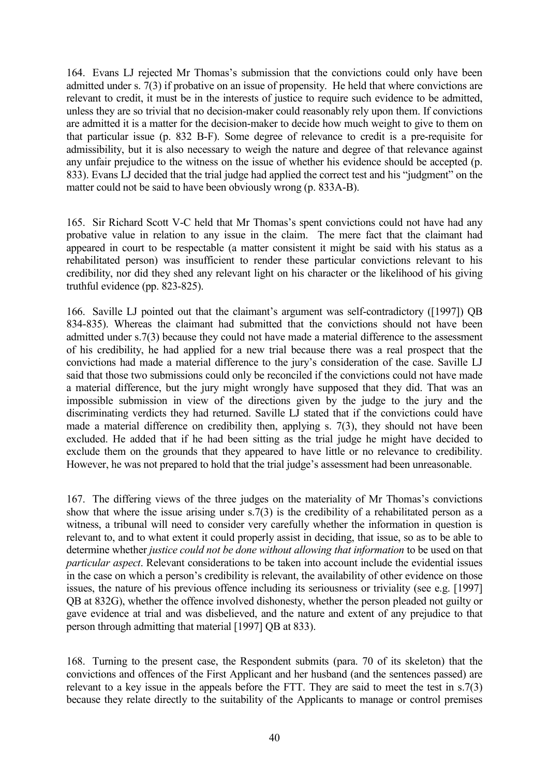164. Evans LJ rejected Mr Thomas's submission that the convictions could only have been admitted under s. 7(3) if probative on an issue of propensity. He held that where convictions are relevant to credit, it must be in the interests of justice to require such evidence to be admitted, unless they are so trivial that no decision-maker could reasonably rely upon them. If convictions are admitted it is a matter for the decision-maker to decide how much weight to give to them on that particular issue (p. 832 B-F). Some degree of relevance to credit is a pre-requisite for admissibility, but it is also necessary to weigh the nature and degree of that relevance against any unfair prejudice to the witness on the issue of whether his evidence should be accepted (p. 833). Evans LJ decided that the trial judge had applied the correct test and his "judgment" on the matter could not be said to have been obviously wrong (p. 833A-B).

165. Sir Richard Scott V-C held that Mr Thomas's spent convictions could not have had any probative value in relation to any issue in the claim. The mere fact that the claimant had appeared in court to be respectable (a matter consistent it might be said with his status as a rehabilitated person) was insufficient to render these particular convictions relevant to his credibility, nor did they shed any relevant light on his character or the likelihood of his giving truthful evidence (pp. 823-825).

166. Saville LJ pointed out that the claimant's argument was self-contradictory ([1997]) QB 834-835). Whereas the claimant had submitted that the convictions should not have been admitted under s.7(3) because they could not have made a material difference to the assessment of his credibility, he had applied for a new trial because there was a real prospect that the convictions had made a material difference to the jury's consideration of the case. Saville LJ said that those two submissions could only be reconciled if the convictions could not have made a material difference, but the jury might wrongly have supposed that they did. That was an impossible submission in view of the directions given by the judge to the jury and the discriminating verdicts they had returned. Saville LJ stated that if the convictions could have made a material difference on credibility then, applying s. 7(3), they should not have been excluded. He added that if he had been sitting as the trial judge he might have decided to exclude them on the grounds that they appeared to have little or no relevance to credibility. However, he was not prepared to hold that the trial judge's assessment had been unreasonable.

167. The differing views of the three judges on the materiality of Mr Thomas's convictions show that where the issue arising under s.7(3) is the credibility of a rehabilitated person as a witness, a tribunal will need to consider very carefully whether the information in question is relevant to, and to what extent it could properly assist in deciding, that issue, so as to be able to determine whether *justice could not be done without allowing that information* to be used on that *particular aspect*. Relevant considerations to be taken into account include the evidential issues in the case on which a person's credibility is relevant, the availability of other evidence on those issues, the nature of his previous offence including its seriousness or triviality (see e.g. [1997] QB at 832G), whether the offence involved dishonesty, whether the person pleaded not guilty or gave evidence at trial and was disbelieved, and the nature and extent of any prejudice to that person through admitting that material [1997] QB at 833).

168. Turning to the present case, the Respondent submits (para. 70 of its skeleton) that the convictions and offences of the First Applicant and her husband (and the sentences passed) are relevant to a key issue in the appeals before the FTT. They are said to meet the test in s.7(3) because they relate directly to the suitability of the Applicants to manage or control premises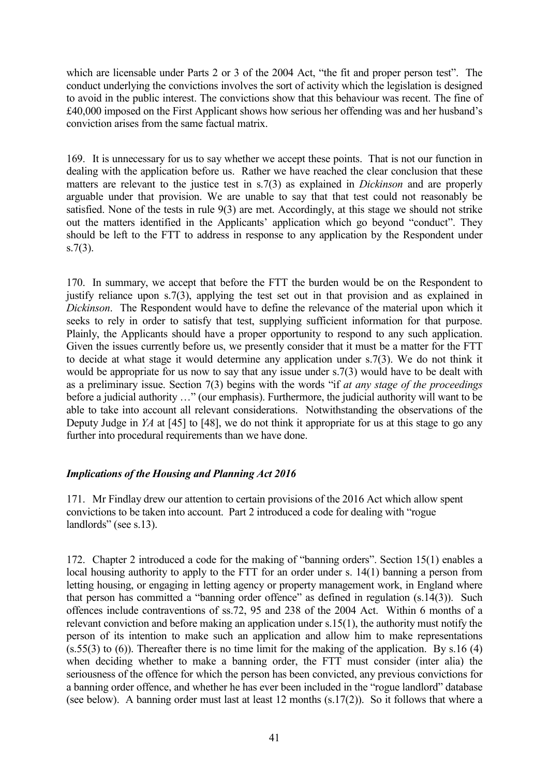which are licensable under Parts 2 or 3 of the 2004 Act, "the fit and proper person test". The conduct underlying the convictions involves the sort of activity which the legislation is designed to avoid in the public interest. The convictions show that this behaviour was recent. The fine of £40,000 imposed on the First Applicant shows how serious her offending was and her husband's conviction arises from the same factual matrix.

169. It is unnecessary for us to say whether we accept these points. That is not our function in dealing with the application before us. Rather we have reached the clear conclusion that these matters are relevant to the justice test in s.7(3) as explained in *Dickinson* and are properly arguable under that provision. We are unable to say that that test could not reasonably be satisfied. None of the tests in rule 9(3) are met. Accordingly, at this stage we should not strike out the matters identified in the Applicants' application which go beyond "conduct". They should be left to the FTT to address in response to any application by the Respondent under  $s.7(3)$ .

170. In summary, we accept that before the FTT the burden would be on the Respondent to justify reliance upon s.7(3), applying the test set out in that provision and as explained in *Dickinson*. The Respondent would have to define the relevance of the material upon which it seeks to rely in order to satisfy that test, supplying sufficient information for that purpose. Plainly, the Applicants should have a proper opportunity to respond to any such application. Given the issues currently before us, we presently consider that it must be a matter for the FTT to decide at what stage it would determine any application under s.7(3). We do not think it would be appropriate for us now to say that any issue under s.7(3) would have to be dealt with as a preliminary issue. Section 7(3) begins with the words "if *at any stage of the proceedings* before a judicial authority …" (our emphasis). Furthermore, the judicial authority will want to be able to take into account all relevant considerations. Notwithstanding the observations of the Deputy Judge in *YA* at [45] to [48], we do not think it appropriate for us at this stage to go any further into procedural requirements than we have done.

# *Implications of the Housing and Planning Act 2016*

171. Mr Findlay drew our attention to certain provisions of the 2016 Act which allow spent convictions to be taken into account. Part 2 introduced a code for dealing with "rogue landlords" (see s.13).

172. Chapter 2 introduced a code for the making of "banning orders". Section 15(1) enables a local housing authority to apply to the FTT for an order under s. 14(1) banning a person from letting housing, or engaging in letting agency or property management work, in England where that person has committed a "banning order offence" as defined in regulation (s.14(3)). Such offences include contraventions of ss.72, 95 and 238 of the 2004 Act. Within 6 months of a relevant conviction and before making an application under s.15(1), the authority must notify the person of its intention to make such an application and allow him to make representations  $(s.55(3)$  to  $(6)$ ). Thereafter there is no time limit for the making of the application. By s.16 (4) when deciding whether to make a banning order, the FTT must consider (inter alia) the seriousness of the offence for which the person has been convicted, any previous convictions for a banning order offence, and whether he has ever been included in the "rogue landlord" database (see below). A banning order must last at least 12 months (s.17(2)). So it follows that where a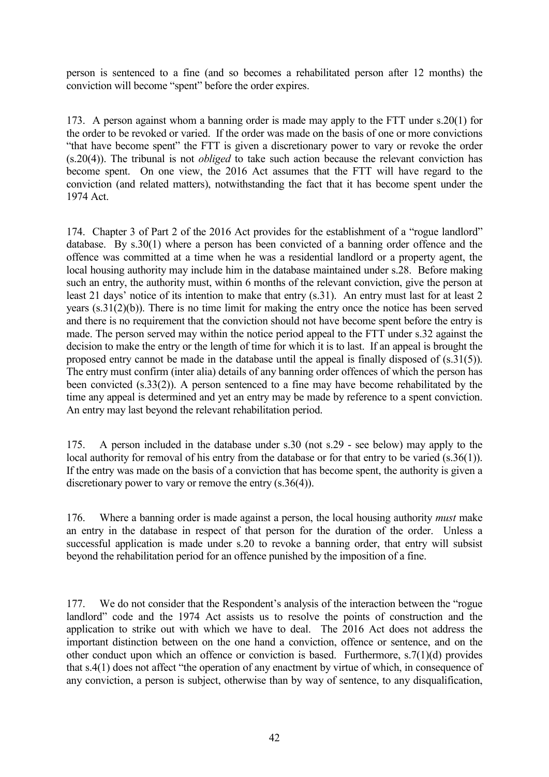person is sentenced to a fine (and so becomes a rehabilitated person after 12 months) the conviction will become "spent" before the order expires.

173. A person against whom a banning order is made may apply to the FTT under s.20(1) for the order to be revoked or varied. If the order was made on the basis of one or more convictions "that have become spent" the FTT is given a discretionary power to vary or revoke the order (s.20(4)). The tribunal is not *obliged* to take such action because the relevant conviction has become spent. On one view, the 2016 Act assumes that the FTT will have regard to the conviction (and related matters), notwithstanding the fact that it has become spent under the 1974 Act.

174. Chapter 3 of Part 2 of the 2016 Act provides for the establishment of a "rogue landlord" database. By s.30(1) where a person has been convicted of a banning order offence and the offence was committed at a time when he was a residential landlord or a property agent, the local housing authority may include him in the database maintained under s.28. Before making such an entry, the authority must, within 6 months of the relevant conviction, give the person at least 21 days' notice of its intention to make that entry (s.31). An entry must last for at least 2 years (s.31(2)(b)). There is no time limit for making the entry once the notice has been served and there is no requirement that the conviction should not have become spent before the entry is made. The person served may within the notice period appeal to the FTT under s.32 against the decision to make the entry or the length of time for which it is to last. If an appeal is brought the proposed entry cannot be made in the database until the appeal is finally disposed of (s.31(5)). The entry must confirm (inter alia) details of any banning order offences of which the person has been convicted (s.33(2)). A person sentenced to a fine may have become rehabilitated by the time any appeal is determined and yet an entry may be made by reference to a spent conviction. An entry may last beyond the relevant rehabilitation period.

175. A person included in the database under s.30 (not s.29 - see below) may apply to the local authority for removal of his entry from the database or for that entry to be varied (s.36(1)). If the entry was made on the basis of a conviction that has become spent, the authority is given a discretionary power to vary or remove the entry (s.36(4)).

176. Where a banning order is made against a person, the local housing authority *must* make an entry in the database in respect of that person for the duration of the order. Unless a successful application is made under s.20 to revoke a banning order, that entry will subsist beyond the rehabilitation period for an offence punished by the imposition of a fine.

177. We do not consider that the Respondent's analysis of the interaction between the "rogue landlord" code and the 1974 Act assists us to resolve the points of construction and the application to strike out with which we have to deal. The 2016 Act does not address the important distinction between on the one hand a conviction, offence or sentence, and on the other conduct upon which an offence or conviction is based. Furthermore, s.7(1)(d) provides that s.4(1) does not affect "the operation of any enactment by virtue of which, in consequence of any conviction, a person is subject, otherwise than by way of sentence, to any disqualification,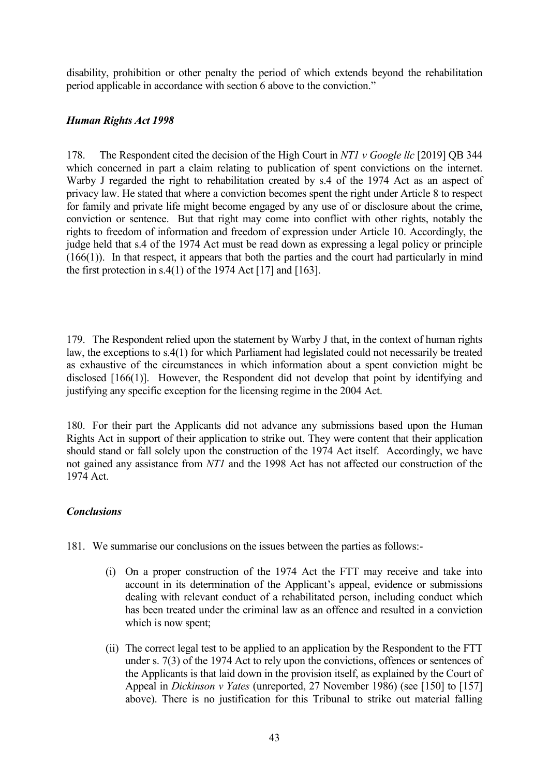disability, prohibition or other penalty the period of which extends beyond the rehabilitation period applicable in accordance with section 6 above to the conviction."

## *Human Rights Act 1998*

178. The Respondent cited the decision of the High Court in *NT1 v Google llc* [2019] QB 344 which concerned in part a claim relating to publication of spent convictions on the internet. Warby J regarded the right to rehabilitation created by s.4 of the 1974 Act as an aspect of privacy law. He stated that where a conviction becomes spent the right under Article 8 to respect for family and private life might become engaged by any use of or disclosure about the crime, conviction or sentence. But that right may come into conflict with other rights, notably the rights to freedom of information and freedom of expression under Article 10. Accordingly, the judge held that s.4 of the 1974 Act must be read down as expressing a legal policy or principle  $(166(1))$ . In that respect, it appears that both the parties and the court had particularly in mind the first protection in s.4(1) of the 1974 Act [17] and [163].

179. The Respondent relied upon the statement by Warby J that, in the context of human rights law, the exceptions to s.4(1) for which Parliament had legislated could not necessarily be treated as exhaustive of the circumstances in which information about a spent conviction might be disclosed [166(1)]. However, the Respondent did not develop that point by identifying and justifying any specific exception for the licensing regime in the 2004 Act.

180. For their part the Applicants did not advance any submissions based upon the Human Rights Act in support of their application to strike out. They were content that their application should stand or fall solely upon the construction of the 1974 Act itself. Accordingly, we have not gained any assistance from *NT1* and the 1998 Act has not affected our construction of the 1974 Act.

# *Conclusions*

- 181. We summarise our conclusions on the issues between the parties as follows:-
	- (i) On a proper construction of the 1974 Act the FTT may receive and take into account in its determination of the Applicant's appeal, evidence or submissions dealing with relevant conduct of a rehabilitated person, including conduct which has been treated under the criminal law as an offence and resulted in a conviction which is now spent;
	- (ii) The correct legal test to be applied to an application by the Respondent to the FTT under s. 7(3) of the 1974 Act to rely upon the convictions, offences or sentences of the Applicants is that laid down in the provision itself, as explained by the Court of Appeal in *Dickinson v Yates* (unreported, 27 November 1986) (see [150] to [157] above). There is no justification for this Tribunal to strike out material falling